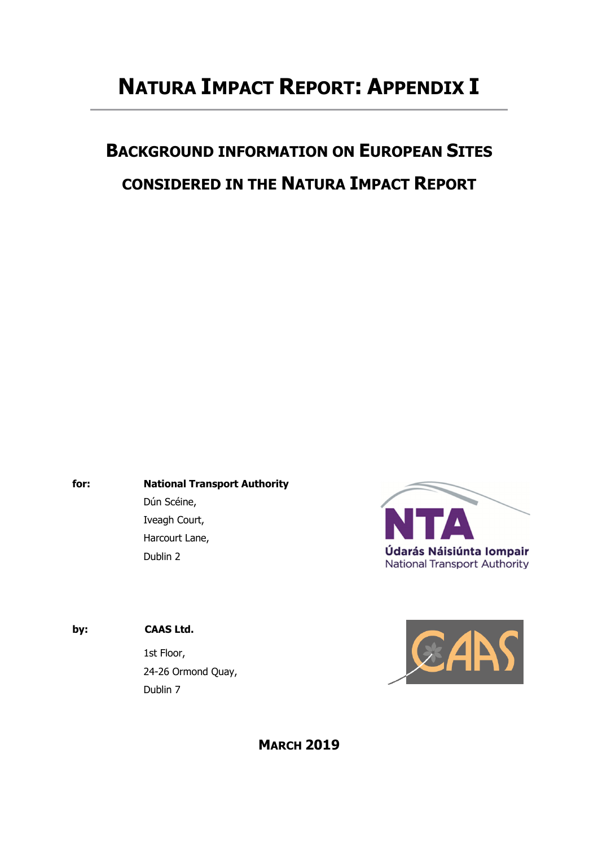# **NATURA IMPACT REPORT: APPENDIX I**

# **BACKGROUND INFORMATION ON EUROPEAN SITES CONSIDERED IN THE NATURA IMPACT REPORT**

**for: National Transport Authority**  Dún Scéine, Iveagh Court,

Harcourt Lane,

Dublin 2



**by: CAAS Ltd.**

1st Floor, 24-26 Ormond Quay, Dublin 7



## **MARCH 2019**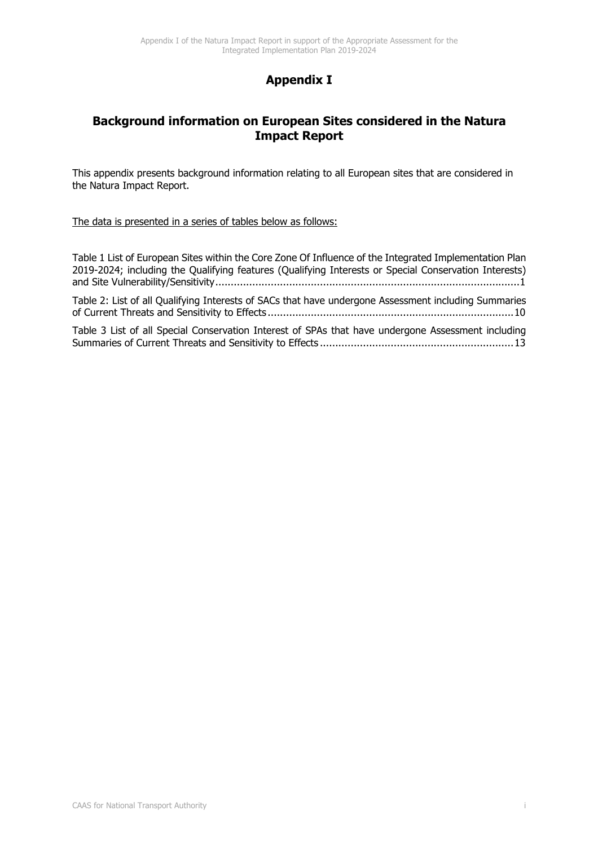## **Appendix I**

## **Background information on European Sites considered in the Natura Impact Report**

This appendix presents background information relating to all European sites that are considered in the Natura Impact Report.

The data is presented in a series of tables below as follows:

Table 1 List of European Sites within the Core Zone Of Influence of the Integrated Implementation Plan 2019-2024; including the Qualifying features (Qualifying Interests or Special Conservation Interests) and Site Vulnerability/Sensitivity ................................................................................................... 1 Table 2: List of all Qualifying Interests of SACs that have undergone Assessment including Summaries of Current Threats and Sensitivity to Effects ................................................................................ 10 Table 3 List of all Special Conservation Interest of SPAs that have undergone Assessment including Summaries of Current Threats and Sensitivity to Effects ............................................................... 13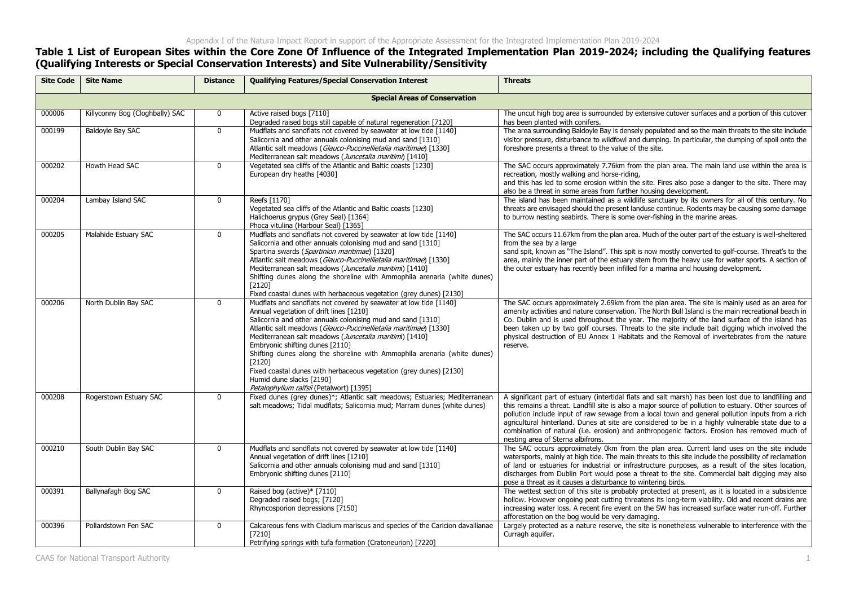### **Table 1 List of European Sites within the Core Zone Of Influence of the Integrated Implementation Plan 2019-2024; including the Qualifying features (Qualifying Interests or Special Conservation Interests) and Site Vulnerability/Sensitivity**

| <b>Site Code</b> | <b>Site Name</b>                | <b>Distance</b> | <b>Qualifying Features/Special Conservation Interest</b>                                                                                                                                                                                                                                                                                                                                                                                                                                                                                                                          | <b>Threats</b>                                                                                                                                                                                                                                                                                                                                                                                                                                                                                                                                              |
|------------------|---------------------------------|-----------------|-----------------------------------------------------------------------------------------------------------------------------------------------------------------------------------------------------------------------------------------------------------------------------------------------------------------------------------------------------------------------------------------------------------------------------------------------------------------------------------------------------------------------------------------------------------------------------------|-------------------------------------------------------------------------------------------------------------------------------------------------------------------------------------------------------------------------------------------------------------------------------------------------------------------------------------------------------------------------------------------------------------------------------------------------------------------------------------------------------------------------------------------------------------|
|                  |                                 |                 | <b>Special Areas of Conservation</b>                                                                                                                                                                                                                                                                                                                                                                                                                                                                                                                                              |                                                                                                                                                                                                                                                                                                                                                                                                                                                                                                                                                             |
| 000006           | Killyconny Bog (Cloghbally) SAC | 0               | Active raised bogs [7110]<br>Degraded raised bogs still capable of natural regeneration [7120]                                                                                                                                                                                                                                                                                                                                                                                                                                                                                    | The uncut high bog area is surrounded by extensive cutover surfaces and a portion of this cutover<br>has been planted with conifers.                                                                                                                                                                                                                                                                                                                                                                                                                        |
| 000199           | Baldoyle Bay SAC                | $\mathbf 0$     | Mudflats and sandflats not covered by seawater at low tide [1140]<br>Salicornia and other annuals colonising mud and sand [1310]<br>Atlantic salt meadows (Glauco-Puccinellietalia maritimae) [1330]<br>Mediterranean salt meadows (Juncetalia maritimi) [1410]                                                                                                                                                                                                                                                                                                                   | The area surrounding Baldoyle Bay is densely populated and so the main threats to the site include<br>visitor pressure, disturbance to wildfowl and dumping. In particular, the dumping of spoil onto the<br>foreshore presents a threat to the value of the site.                                                                                                                                                                                                                                                                                          |
| 000202           | Howth Head SAC                  | $\mathbf{0}$    | Vegetated sea cliffs of the Atlantic and Baltic coasts [1230]<br>European dry heaths [4030]                                                                                                                                                                                                                                                                                                                                                                                                                                                                                       | The SAC occurs approximately 7.76km from the plan area. The main land use within the area is<br>recreation, mostly walking and horse-riding,<br>and this has led to some erosion within the site. Fires also pose a danger to the site. There may<br>also be a threat in some areas from further housing development.                                                                                                                                                                                                                                       |
| 000204           | Lambay Island SAC               | 0               | Reefs [1170]<br>Vegetated sea cliffs of the Atlantic and Baltic coasts [1230]<br>Halichoerus grypus (Grey Seal) [1364]<br>Phoca vitulina (Harbour Seal) [1365]                                                                                                                                                                                                                                                                                                                                                                                                                    | The island has been maintained as a wildlife sanctuary by its owners for all of this century. No<br>threats are envisaged should the present landuse continue. Rodents may be causing some damage<br>to burrow nesting seabirds. There is some over-fishing in the marine areas.                                                                                                                                                                                                                                                                            |
| 000205           | Malahide Estuary SAC            | $\mathbf{0}$    | Mudflats and sandflats not covered by seawater at low tide [1140]<br>Salicornia and other annuals colonising mud and sand [1310]<br>Spartina swards (Spartinion maritimae) [1320]<br>Atlantic salt meadows (Glauco-Puccinellietalia maritimae) [1330]<br>Mediterranean salt meadows (Juncetalia maritimi) [1410]<br>Shifting dunes along the shoreline with Ammophila arenaria (white dunes)<br>[2120]<br>Fixed coastal dunes with herbaceous vegetation (grey dunes) [2130]                                                                                                      | The SAC occurs 11.67km from the plan area. Much of the outer part of the estuary is well-sheltered<br>from the sea by a large<br>sand spit, known as "The Island". This spit is now mostly converted to golf-course. Threat's to the<br>area, mainly the inner part of the estuary stem from the heavy use for water sports. A section of<br>the outer estuary has recently been infilled for a marina and housing development.                                                                                                                             |
| 000206           | North Dublin Bay SAC            | $\mathbf{0}$    | Mudflats and sandflats not covered by seawater at low tide [1140]<br>Annual vegetation of drift lines [1210]<br>Salicornia and other annuals colonising mud and sand [1310]<br>Atlantic salt meadows (Glauco-Puccinellietalia maritimae) [1330]<br>Mediterranean salt meadows (Juncetalia maritimi) [1410]<br>Embryonic shifting dunes [2110]<br>Shifting dunes along the shoreline with Ammophila arenaria (white dunes)<br>[2120]<br>Fixed coastal dunes with herbaceous vegetation (grey dunes) [2130]<br>Humid dune slacks [2190]<br>Petalophyllum ralfsii (Petalwort) [1395] | The SAC occurs approximately 2.69km from the plan area. The site is mainly used as an area for<br>amenity activities and nature conservation. The North Bull Island is the main recreational beach in<br>Co. Dublin and is used throughout the year. The majority of the land surface of the island has<br>been taken up by two golf courses. Threats to the site include bait digging which involved the<br>physical destruction of EU Annex 1 Habitats and the Removal of invertebrates from the nature<br>reserve.                                       |
| 000208           | Rogerstown Estuary SAC          | $\mathbf{0}$    | Fixed dunes (grey dunes)*; Atlantic salt meadows; Estuaries; Mediterranean<br>salt meadows; Tidal mudflats; Salicornia mud; Marram dunes (white dunes)                                                                                                                                                                                                                                                                                                                                                                                                                            | A significant part of estuary (intertidal flats and salt marsh) has been lost due to landfilling and<br>this remains a threat. Landfill site is also a major source of pollution to estuary. Other sources of<br>pollution include input of raw sewage from a local town and general pollution inputs from a rich<br>agricultural hinterland. Dunes at site are considered to be in a highly vulnerable state due to a<br>combination of natural (i.e. erosion) and anthropogenic factors. Erosion has removed much of<br>nesting area of Sterna albifrons. |
| 000210           | South Dublin Bay SAC            | $\mathbf{0}$    | Mudflats and sandflats not covered by seawater at low tide [1140]<br>Annual vegetation of drift lines [1210]<br>Salicornia and other annuals colonising mud and sand [1310]<br>Embryonic shifting dunes [2110]                                                                                                                                                                                                                                                                                                                                                                    | The SAC occurs approximately 0km from the plan area. Current land uses on the site include<br>watersports, mainly at high tide. The main threats to this site include the possibility of reclamation<br>of land or estuaries for industrial or infrastructure purposes, as a result of the sites location,<br>discharges from Dublin Port would pose a threat to the site. Commercial bait digging may also<br>pose a threat as it causes a disturbance to wintering birds.                                                                                 |
| 000391           | Ballynafagh Bog SAC             | $\mathbf{0}$    | Raised bog (active)* [7110]<br>Degraded raised bogs; [7120]<br>Rhyncosporion depressions [7150]                                                                                                                                                                                                                                                                                                                                                                                                                                                                                   | The wettest section of this site is probably protected at present, as it is located in a subsidence<br>hollow. However ongoing peat cutting threatens its long-term viability. Old and recent drains are<br>increasing water loss. A recent fire event on the SW has increased surface water run-off. Further<br>afforestation on the bog would be very damaging.                                                                                                                                                                                           |
| 000396           | Pollardstown Fen SAC            | $\mathbf{0}$    | Calcareous fens with Cladium mariscus and species of the Caricion davallianae<br>[7210]<br>Petrifying springs with tufa formation (Cratoneurion) [7220]                                                                                                                                                                                                                                                                                                                                                                                                                           | Largely protected as a nature reserve, the site is nonetheless vulnerable to interference with the<br>Curragh aguifer.                                                                                                                                                                                                                                                                                                                                                                                                                                      |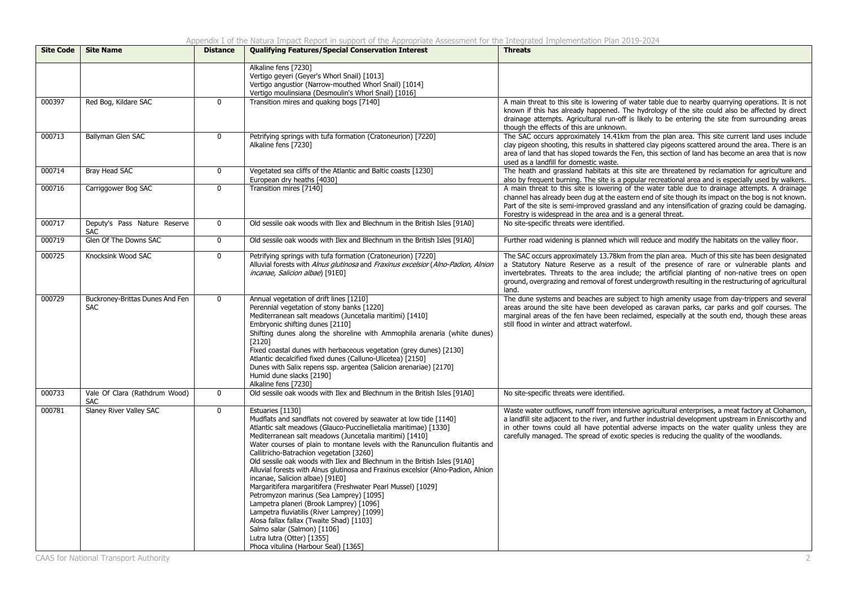| <b>Site Code</b> | <b>Site Name</b>                              | <b>Distance</b> | <b>Qualifying Features/Special Conservation Interest</b>                                                                                                                                                                                                                                                                                                                                                                                                                                                                                                                                                                                                                                                                                                                                                                                                                                                   | <b>Threats</b>                                                                                                                                                                                                                                                                                                                                                                                                |
|------------------|-----------------------------------------------|-----------------|------------------------------------------------------------------------------------------------------------------------------------------------------------------------------------------------------------------------------------------------------------------------------------------------------------------------------------------------------------------------------------------------------------------------------------------------------------------------------------------------------------------------------------------------------------------------------------------------------------------------------------------------------------------------------------------------------------------------------------------------------------------------------------------------------------------------------------------------------------------------------------------------------------|---------------------------------------------------------------------------------------------------------------------------------------------------------------------------------------------------------------------------------------------------------------------------------------------------------------------------------------------------------------------------------------------------------------|
|                  |                                               |                 | Alkaline fens [7230]<br>Vertigo geyeri (Geyer's Whorl Snail) [1013]<br>Vertigo angustior (Narrow-mouthed Whorl Snail) [1014]<br>Vertigo moulinsiana (Desmoulin's Whorl Snail) [1016]                                                                                                                                                                                                                                                                                                                                                                                                                                                                                                                                                                                                                                                                                                                       |                                                                                                                                                                                                                                                                                                                                                                                                               |
| 000397           | Red Bog, Kildare SAC                          | $\mathbf{0}$    | Transition mires and quaking bogs [7140]                                                                                                                                                                                                                                                                                                                                                                                                                                                                                                                                                                                                                                                                                                                                                                                                                                                                   | A main threat to this site is lowering of water table due to nearby quarrying operations. It is not<br>known if this has already happened. The hydrology of the site could also be affected by direct<br>drainage attempts. Agricultural run-off is likely to be entering the site from surrounding areas<br>though the effects of this are unknown.                                                          |
| 000713           | Ballyman Glen SAC                             | $\mathbf 0$     | Petrifying springs with tufa formation (Cratoneurion) [7220]<br>Alkaline fens [7230]                                                                                                                                                                                                                                                                                                                                                                                                                                                                                                                                                                                                                                                                                                                                                                                                                       | The SAC occurs approximately 14.41km from the plan area. This site current land uses include<br>clay pigeon shooting, this results in shattered clay pigeons scattered around the area. There is an<br>area of land that has sloped towards the Fen, this section of land has become an area that is now<br>used as a landfill for domestic waste.                                                            |
| 000714           | Bray Head SAC                                 | $\mathbf 0$     | Vegetated sea cliffs of the Atlantic and Baltic coasts [1230]<br>European dry heaths [4030]                                                                                                                                                                                                                                                                                                                                                                                                                                                                                                                                                                                                                                                                                                                                                                                                                | The heath and grassland habitats at this site are threatened by reclamation for agriculture and<br>also by frequent burning. The site is a popular recreational area and is especially used by walkers.                                                                                                                                                                                                       |
| 000716           | Carriggower Bog SAC                           | $\mathbf 0$     | Transition mires [7140]                                                                                                                                                                                                                                                                                                                                                                                                                                                                                                                                                                                                                                                                                                                                                                                                                                                                                    | A main threat to this site is lowering of the water table due to drainage attempts. A drainage<br>channel has already been dug at the eastern end of site though its impact on the bog is not known.<br>Part of the site is semi-improved grassland and any intensification of grazing could be damaging.<br>Forestry is widespread in the area and is a general threat.                                      |
| 000717           | Deputy's Pass Nature Reserve<br><b>SAC</b>    | $\mathbf 0$     | Old sessile oak woods with Ilex and Blechnum in the British Isles [91A0]                                                                                                                                                                                                                                                                                                                                                                                                                                                                                                                                                                                                                                                                                                                                                                                                                                   | No site-specific threats were identified.                                                                                                                                                                                                                                                                                                                                                                     |
| 000719           | Glen Of The Downs SAC                         | $\mathbf 0$     | Old sessile oak woods with Ilex and Blechnum in the British Isles [91A0]                                                                                                                                                                                                                                                                                                                                                                                                                                                                                                                                                                                                                                                                                                                                                                                                                                   | Further road widening is planned which will reduce and modify the habitats on the valley floor.                                                                                                                                                                                                                                                                                                               |
| 000725           | Knocksink Wood SAC                            | $\mathbf 0$     | Petrifying springs with tufa formation (Cratoneurion) [7220]<br>Alluvial forests with Alnus glutinosa and Fraxinus excelsior (Alno-Padion, Alnion<br>incanae, Salicion albae) [91E0]                                                                                                                                                                                                                                                                                                                                                                                                                                                                                                                                                                                                                                                                                                                       | The SAC occurs approximately 13.78km from the plan area. Much of this site has been designated<br>a Statutory Nature Reserve as a result of the presence of rare or vulnerable plants and<br>invertebrates. Threats to the area include; the artificial planting of non-native trees on open<br>ground, overgrazing and removal of forest undergrowth resulting in the restructuring of agricultural<br>land. |
| 000729           | Buckroney-Brittas Dunes And Fen<br><b>SAC</b> | $\mathbf 0$     | Annual vegetation of drift lines [1210]<br>Perennial vegetation of stony banks [1220]<br>Mediterranean salt meadows (Juncetalia maritimi) [1410]<br>Embryonic shifting dunes [2110]<br>Shifting dunes along the shoreline with Ammophila arenaria (white dunes)<br>$[2120]$<br>Fixed coastal dunes with herbaceous vegetation (grey dunes) [2130]<br>Atlantic decalcified fixed dunes (Calluno-Ulicetea) [2150]<br>Dunes with Salix repens ssp. argentea (Salicion arenariae) [2170]<br>Humid dune slacks [2190]<br>Alkaline fens [7230]                                                                                                                                                                                                                                                                                                                                                                   | The dune systems and beaches are subject to high amenity usage from day-trippers and several<br>areas around the site have been developed as caravan parks, car parks and golf courses. The<br>marginal areas of the fen have been reclaimed, especially at the south end, though these areas<br>still flood in winter and attract waterfowl.                                                                 |
| 000733           | Vale Of Clara (Rathdrum Wood)<br><b>SAC</b>   | $\mathbf 0$     | Old sessile oak woods with Ilex and Blechnum in the British Isles [91A0]                                                                                                                                                                                                                                                                                                                                                                                                                                                                                                                                                                                                                                                                                                                                                                                                                                   | No site-specific threats were identified.                                                                                                                                                                                                                                                                                                                                                                     |
| 000781           | Slaney River Valley SAC                       | $\mathbf 0$     | Estuaries [1130]<br>Mudflats and sandflats not covered by seawater at low tide [1140]<br>Atlantic salt meadows (Glauco-Puccinellietalia maritimae) [1330]<br>Mediterranean salt meadows (Juncetalia maritimi) [1410]<br>Water courses of plain to montane levels with the Ranunculion fluitantis and<br>Callitricho-Batrachion vegetation [3260]<br>Old sessile oak woods with Ilex and Blechnum in the British Isles [91A0]<br>Alluvial forests with Alnus glutinosa and Fraxinus excelsior (Alno-Padion, Alnion<br>incanae, Salicion albae) [91E0]<br>Margaritifera margaritifera (Freshwater Pearl Mussel) [1029]<br>Petromyzon marinus (Sea Lamprey) [1095]<br>Lampetra planeri (Brook Lamprey) [1096]<br>Lampetra fluviatilis (River Lamprey) [1099]<br>Alosa fallax fallax (Twaite Shad) [1103]<br>Salmo salar (Salmon) [1106]<br>Lutra lutra (Otter) [1355]<br>Phoca vitulina (Harbour Seal) [1365] | Waste water outflows, runoff from intensive agricultural enterprises, a meat factory at Clohamon,<br>a landfill site adjacent to the river, and further industrial development upstream in Enniscorthy and<br>in other towns could all have potential adverse impacts on the water quality unless they are<br>carefully managed. The spread of exotic species is reducing the quality of the woodlands.       |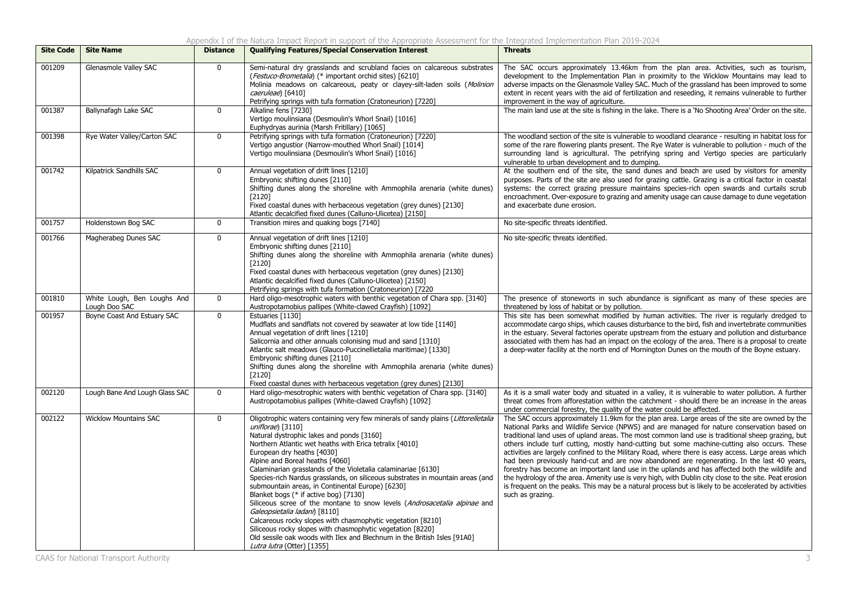Appendix I of the Natura Impact Report in support of the Appropriate Assessment for the Integrated Implementation Plan 2019-2024

| <b>Site Code</b> | <b>Site Name</b>                             | <b>Distance</b> | <b>Qualifying Features/Special Conservation Interest</b>                                                                                                                                                                                                                                                                                                                                                                                                                                                                                                                                                                                                                                                                                                                                                                                                                             | <b>Threats</b>                                                                                                                                                                                                                                                                                                                                                                                                                                                                                                                                                                                                                                                                                                                                                                                                                                                                                                                                    |
|------------------|----------------------------------------------|-----------------|--------------------------------------------------------------------------------------------------------------------------------------------------------------------------------------------------------------------------------------------------------------------------------------------------------------------------------------------------------------------------------------------------------------------------------------------------------------------------------------------------------------------------------------------------------------------------------------------------------------------------------------------------------------------------------------------------------------------------------------------------------------------------------------------------------------------------------------------------------------------------------------|---------------------------------------------------------------------------------------------------------------------------------------------------------------------------------------------------------------------------------------------------------------------------------------------------------------------------------------------------------------------------------------------------------------------------------------------------------------------------------------------------------------------------------------------------------------------------------------------------------------------------------------------------------------------------------------------------------------------------------------------------------------------------------------------------------------------------------------------------------------------------------------------------------------------------------------------------|
| 001209           | Glenasmole Valley SAC                        | $\mathbf{0}$    | Semi-natural dry grasslands and scrubland facies on calcareous substrates<br>(Festuco-Brometalia) (* important orchid sites) [6210]<br>Molinia meadows on calcareous, peaty or clayey-silt-laden soils (Molinion<br>caeruleae) [6410]<br>Petrifying springs with tufa formation (Cratoneurion) [7220]                                                                                                                                                                                                                                                                                                                                                                                                                                                                                                                                                                                | The SAC occurs approximately 13.46km from the plan area. Activities, such as tourism,<br>development to the Implementation Plan in proximity to the Wicklow Mountains may lead to<br>adverse impacts on the Glenasmole Valley SAC. Much of the grassland has been improved to some<br>extent in recent years with the aid of fertilization and reseeding, it remains vulnerable to further<br>improvement in the way of agriculture.                                                                                                                                                                                                                                                                                                                                                                                                                                                                                                              |
| 001387           | Ballynafagh Lake SAC                         | $\mathbf 0$     | Alkaline fens [7230]<br>Vertigo moulinsiana (Desmoulin's Whorl Snail) [1016]<br>Euphydryas aurinia (Marsh Fritillary) [1065]                                                                                                                                                                                                                                                                                                                                                                                                                                                                                                                                                                                                                                                                                                                                                         | The main land use at the site is fishing in the lake. There is a 'No Shooting Area' Order on the site.                                                                                                                                                                                                                                                                                                                                                                                                                                                                                                                                                                                                                                                                                                                                                                                                                                            |
| 001398           | Rye Water Valley/Carton SAC                  | $\mathbf 0$     | Petrifying springs with tufa formation (Cratoneurion) [7220]<br>Vertigo angustior (Narrow-mouthed Whorl Snail) [1014]<br>Vertigo moulinsiana (Desmoulin's Whorl Snail) [1016]                                                                                                                                                                                                                                                                                                                                                                                                                                                                                                                                                                                                                                                                                                        | The woodland section of the site is vulnerable to woodland clearance - resulting in habitat loss for<br>some of the rare flowering plants present. The Rye Water is vulnerable to pollution - much of the<br>surrounding land is agricultural. The petrifying spring and Vertigo species are particularly<br>vulnerable to urban development and to dumping.                                                                                                                                                                                                                                                                                                                                                                                                                                                                                                                                                                                      |
| 001742           | Kilpatrick Sandhills SAC                     | $\mathbf 0$     | Annual vegetation of drift lines [1210]<br>Embryonic shifting dunes [2110]<br>Shifting dunes along the shoreline with Ammophila arenaria (white dunes)<br>[2120]<br>Fixed coastal dunes with herbaceous vegetation (grey dunes) [2130]<br>Atlantic decalcified fixed dunes (Calluno-Ulicetea) [2150]                                                                                                                                                                                                                                                                                                                                                                                                                                                                                                                                                                                 | At the southern end of the site, the sand dunes and beach are used by visitors for amenity<br>purposes. Parts of the site are also used for grazing cattle. Grazing is a critical factor in coastal<br>systems: the correct grazing pressure maintains species-rich open swards and curtails scrub<br>encroachment. Over-exposure to grazing and amenity usage can cause damage to dune vegetation<br>and exacerbate dune erosion.                                                                                                                                                                                                                                                                                                                                                                                                                                                                                                                |
| 001757           | Holdenstown Bog SAC                          | $\mathbf 0$     | Transition mires and quaking bogs [7140]                                                                                                                                                                                                                                                                                                                                                                                                                                                                                                                                                                                                                                                                                                                                                                                                                                             | No site-specific threats identified.                                                                                                                                                                                                                                                                                                                                                                                                                                                                                                                                                                                                                                                                                                                                                                                                                                                                                                              |
| 001766           | Magherabeg Dunes SAC                         | $\mathbf 0$     | Annual vegetation of drift lines [1210]<br>Embryonic shifting dunes [2110]<br>Shifting dunes along the shoreline with Ammophila arenaria (white dunes)<br>[2120]<br>Fixed coastal dunes with herbaceous vegetation (grey dunes) [2130]<br>Atlantic decalcified fixed dunes (Calluno-Ulicetea) [2150]<br>Petrifying springs with tufa formation (Cratoneurion) [7220                                                                                                                                                                                                                                                                                                                                                                                                                                                                                                                  | No site-specific threats identified.                                                                                                                                                                                                                                                                                                                                                                                                                                                                                                                                                                                                                                                                                                                                                                                                                                                                                                              |
| 001810           | White Lough, Ben Loughs And<br>Lough Doo SAC | $\mathbf{0}$    | Hard oligo-mesotrophic waters with benthic vegetation of Chara spp. [3140]<br>Austropotamobius pallipes (White-clawed Crayfish) [1092]                                                                                                                                                                                                                                                                                                                                                                                                                                                                                                                                                                                                                                                                                                                                               | The presence of stoneworts in such abundance is significant as many of these species are<br>threatened by loss of habitat or by pollution.                                                                                                                                                                                                                                                                                                                                                                                                                                                                                                                                                                                                                                                                                                                                                                                                        |
| 001957           | Boyne Coast And Estuary SAC                  | $\overline{0}$  | Estuaries [1130]<br>Mudflats and sandflats not covered by seawater at low tide [1140]<br>Annual vegetation of drift lines [1210]<br>Salicornia and other annuals colonising mud and sand [1310]<br>Atlantic salt meadows (Glauco-Puccinellietalia maritimae) [1330]<br>Embryonic shifting dunes [2110]<br>Shifting dunes along the shoreline with Ammophila arenaria (white dunes)<br>$[2120]$<br>Fixed coastal dunes with herbaceous vegetation (grey dunes) [2130]                                                                                                                                                                                                                                                                                                                                                                                                                 | This site has been somewhat modified by human activities. The river is regularly dredged to<br>accommodate cargo ships, which causes disturbance to the bird, fish and invertebrate communities<br>in the estuary. Several factories operate upstream from the estuary and pollution and disturbance<br>associated with them has had an impact on the ecology of the area. There is a proposal to create<br>a deep-water facility at the north end of Mornington Dunes on the mouth of the Boyne estuary.                                                                                                                                                                                                                                                                                                                                                                                                                                         |
| 002120           | Lough Bane And Lough Glass SAC               | $\mathbf 0$     | Hard oligo-mesotrophic waters with benthic vegetation of Chara spp. [3140]<br>Austropotamobius pallipes (White-clawed Crayfish) [1092]                                                                                                                                                                                                                                                                                                                                                                                                                                                                                                                                                                                                                                                                                                                                               | As it is a small water body and situated in a valley, it is vulnerable to water pollution. A further<br>threat comes from afforestation within the catchment - should there be an increase in the areas<br>under commercial forestry, the quality of the water could be affected.                                                                                                                                                                                                                                                                                                                                                                                                                                                                                                                                                                                                                                                                 |
| 002122           | <b>Wicklow Mountains SAC</b>                 | $\mathbf 0$     | Oligotrophic waters containing very few minerals of sandy plains (Littorelletalia<br>uniflorae) [3110]<br>Natural dystrophic lakes and ponds [3160]<br>Northern Atlantic wet heaths with Erica tetralix [4010]<br>European dry heaths [4030]<br>Alpine and Boreal heaths [4060]<br>Calaminarian grasslands of the Violetalia calaminariae [6130]<br>Species-rich Nardus grasslands, on siliceous substrates in mountain areas (and<br>submountain areas, in Continental Europe) [6230]<br>Blanket bogs (* if active bog) [7130]<br>Siliceous scree of the montane to snow levels (Androsacetalia alpinae and<br>Galeopsietalia ladani) [8110]<br>Calcareous rocky slopes with chasmophytic vegetation [8210]<br>Siliceous rocky slopes with chasmophytic vegetation [8220]<br>Old sessile oak woods with Ilex and Blechnum in the British Isles [91A0]<br>Lutra lutra (Otter) [1355] | The SAC occurs approximately 11.9km for the plan area. Large areas of the site are owned by the<br>National Parks and Wildlife Service (NPWS) and are managed for nature conservation based on<br>traditional land uses of upland areas. The most common land use is traditional sheep grazing, but<br>others include turf cutting, mostly hand-cutting but some machine-cutting also occurs. These<br>activities are largely confined to the Military Road, where there is easy access. Large areas which<br>had been previously hand-cut and are now abandoned are regenerating. In the last 40 years,<br>forestry has become an important land use in the uplands and has affected both the wildlife and<br>the hydrology of the area. Amenity use is very high, with Dublin city close to the site. Peat erosion<br>is frequent on the peaks. This may be a natural process but is likely to be accelerated by activities<br>such as grazing. |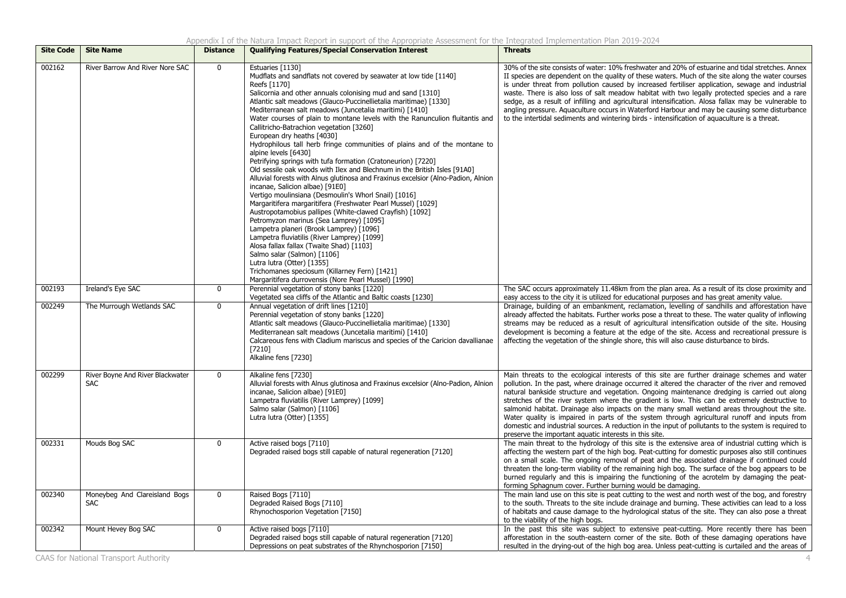| <b>Site Code</b> | <b>Site Name</b>                               | <b>Distance</b> | <b>Qualifying Features/Special Conservation Interest</b>                                                                                                                                                                                                                                                                                                                                                                                                                                                                                                                                                                                                                                                                                                                                                                                                                                                                                                                                                                                                                                                                                                                                                                                                                                                                                                                          | <b>Threats</b>                                                                                                                                                                                                                                                                                                                                                                                                                                                                                                                                                                                                                                                                                                                                                       |
|------------------|------------------------------------------------|-----------------|-----------------------------------------------------------------------------------------------------------------------------------------------------------------------------------------------------------------------------------------------------------------------------------------------------------------------------------------------------------------------------------------------------------------------------------------------------------------------------------------------------------------------------------------------------------------------------------------------------------------------------------------------------------------------------------------------------------------------------------------------------------------------------------------------------------------------------------------------------------------------------------------------------------------------------------------------------------------------------------------------------------------------------------------------------------------------------------------------------------------------------------------------------------------------------------------------------------------------------------------------------------------------------------------------------------------------------------------------------------------------------------|----------------------------------------------------------------------------------------------------------------------------------------------------------------------------------------------------------------------------------------------------------------------------------------------------------------------------------------------------------------------------------------------------------------------------------------------------------------------------------------------------------------------------------------------------------------------------------------------------------------------------------------------------------------------------------------------------------------------------------------------------------------------|
| 002162           | River Barrow And River Nore SAC                | $\mathbf 0$     | Estuaries [1130]<br>Mudflats and sandflats not covered by seawater at low tide [1140]<br>Reefs [1170]<br>Salicornia and other annuals colonising mud and sand [1310]<br>Atlantic salt meadows (Glauco-Puccinellietalia maritimae) [1330]<br>Mediterranean salt meadows (Juncetalia maritimi) [1410]<br>Water courses of plain to montane levels with the Ranunculion fluitantis and<br>Callitricho-Batrachion vegetation [3260]<br>European dry heaths [4030]<br>Hydrophilous tall herb fringe communities of plains and of the montane to<br>alpine levels [6430]<br>Petrifying springs with tufa formation (Cratoneurion) [7220]<br>Old sessile oak woods with Ilex and Blechnum in the British Isles [91A0]<br>Alluvial forests with Alnus glutinosa and Fraxinus excelsior (Alno-Padion, Alnion<br>incanae, Salicion albae) [91E0]<br>Vertigo moulinsiana (Desmoulin's Whorl Snail) [1016]<br>Margaritifera margaritifera (Freshwater Pearl Mussel) [1029]<br>Austropotamobius pallipes (White-clawed Crayfish) [1092]<br>Petromyzon marinus (Sea Lamprey) [1095]<br>Lampetra planeri (Brook Lamprey) [1096]<br>Lampetra fluviatilis (River Lamprey) [1099]<br>Alosa fallax fallax (Twaite Shad) [1103]<br>Salmo salar (Salmon) [1106]<br>Lutra lutra (Otter) [1355]<br>Trichomanes speciosum (Killarney Fern) [1421]<br>Margaritifera durrovensis (Nore Pearl Mussel) [1990] | 30% of the site consists of water: 10% freshwater and 20% of estuarine and tidal stretches. Annex<br>II species are dependent on the quality of these waters. Much of the site along the water courses<br>is under threat from pollution caused by increased fertiliser application, sewage and industrial<br>waste. There is also loss of salt meadow habitat with two legally protected species and a rare<br>sedge, as a result of infilling and agricultural intensification. Alosa fallax may be vulnerable to<br>angling pressure. Aguaculture occurs in Waterford Harbour and may be causing some disturbance<br>to the intertidal sediments and wintering birds - intensification of aquaculture is a threat.                                                |
| 002193           | Ireland's Eye SAC                              | $\mathbf 0$     | Perennial vegetation of stony banks [1220]<br>Vegetated sea cliffs of the Atlantic and Baltic coasts [1230]                                                                                                                                                                                                                                                                                                                                                                                                                                                                                                                                                                                                                                                                                                                                                                                                                                                                                                                                                                                                                                                                                                                                                                                                                                                                       | The SAC occurs approximately 11.48km from the plan area. As a result of its close proximity and<br>easy access to the city it is utilized for educational purposes and has great amenity value.                                                                                                                                                                                                                                                                                                                                                                                                                                                                                                                                                                      |
| 002249           | The Murrough Wetlands SAC                      | $\mathbf 0$     | Annual vegetation of drift lines [1210]<br>Perennial vegetation of stony banks [1220]<br>Atlantic salt meadows (Glauco-Puccinellietalia maritimae) [1330]<br>Mediterranean salt meadows (Juncetalia maritimi) [1410]<br>Calcareous fens with Cladium mariscus and species of the Caricion davallianae<br>[7210]<br>Alkaline fens [7230]                                                                                                                                                                                                                                                                                                                                                                                                                                                                                                                                                                                                                                                                                                                                                                                                                                                                                                                                                                                                                                           | Drainage, building of an embankment, reclamation, levelling of sandhills and afforestation have<br>already affected the habitats. Further works pose a threat to these. The water quality of inflowing<br>streams may be reduced as a result of agricultural intensification outside of the site. Housing<br>development is becoming a feature at the edge of the site. Access and recreational pressure is<br>affecting the vegetation of the shingle shore, this will also cause disturbance to birds.                                                                                                                                                                                                                                                             |
| 002299           | River Boyne And River Blackwater<br><b>SAC</b> | $\mathbf 0$     | Alkaline fens [7230]<br>Alluvial forests with Alnus glutinosa and Fraxinus excelsior (Alno-Padion, Alnion<br>incanae, Salicion albae) [91E0]<br>Lampetra fluviatilis (River Lamprey) [1099]<br>Salmo salar (Salmon) [1106]<br>Lutra lutra (Otter) [1355]                                                                                                                                                                                                                                                                                                                                                                                                                                                                                                                                                                                                                                                                                                                                                                                                                                                                                                                                                                                                                                                                                                                          | Main threats to the ecological interests of this site are further drainage schemes and water<br>pollution. In the past, where drainage occurred it altered the character of the river and removed<br>natural bankside structure and vegetation. Ongoing maintenance dredging is carried out along<br>stretches of the river system where the gradient is low. This can be extremely destructive to<br>salmonid habitat. Drainage also impacts on the many small wetland areas throughout the site.<br>Water quality is impaired in parts of the system through agricultural runoff and inputs from<br>domestic and industrial sources. A reduction in the input of pollutants to the system is required to<br>preserve the important aquatic interests in this site. |
| 002331           | Mouds Bog SAC                                  | $\mathbf 0$     | Active raised bogs [7110]<br>Degraded raised bogs still capable of natural regeneration [7120]                                                                                                                                                                                                                                                                                                                                                                                                                                                                                                                                                                                                                                                                                                                                                                                                                                                                                                                                                                                                                                                                                                                                                                                                                                                                                    | The main threat to the hydrology of this site is the extensive area of industrial cutting which is<br>affecting the western part of the high bog. Peat-cutting for domestic purposes also still continues<br>on a small scale. The ongoing removal of peat and the associated drainage if continued could<br>threaten the long-term viability of the remaining high bog. The surface of the bog appears to be<br>burned regularly and this is impairing the functioning of the acrotelm by damaging the peat-<br>forming Sphagnum cover. Further burning would be damaging.                                                                                                                                                                                          |
| 002340           | Moneybeg And Clareisland Bogs<br><b>SAC</b>    | $\mathbf 0$     | Raised Bogs [7110]<br>Degraded Raised Bogs [7110]<br>Rhynochosporion Vegetation [7150]                                                                                                                                                                                                                                                                                                                                                                                                                                                                                                                                                                                                                                                                                                                                                                                                                                                                                                                                                                                                                                                                                                                                                                                                                                                                                            | The main land use on this site is peat cutting to the west and north west of the bog, and forestry<br>to the south. Threats to the site include drainage and burning. These activities can lead to a loss<br>of habitats and cause damage to the hydrological status of the site. They can also pose a threat<br>to the viability of the high bogs.                                                                                                                                                                                                                                                                                                                                                                                                                  |
| 002342           | Mount Hevey Bog SAC                            | 0               | Active raised bogs [7110]<br>Degraded raised bogs still capable of natural regeneration [7120]<br>Depressions on peat substrates of the Rhynchosporion [7150]                                                                                                                                                                                                                                                                                                                                                                                                                                                                                                                                                                                                                                                                                                                                                                                                                                                                                                                                                                                                                                                                                                                                                                                                                     | In the past this site was subject to extensive peat-cutting. More recently there has been<br>afforestation in the south-eastern corner of the site. Both of these damaging operations have<br>resulted in the drying-out of the high bog area. Unless peat-cutting is curtailed and the areas of                                                                                                                                                                                                                                                                                                                                                                                                                                                                     |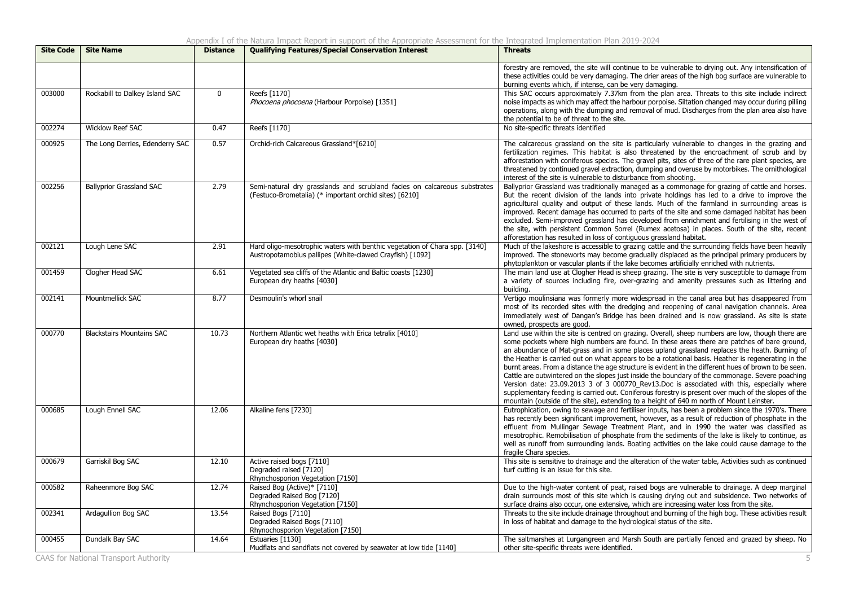### Appendix I of the Natura Impact Report in support of the Appropriate Assessment for the Integrated Implementation Plan 2019-2024

| <b>Site Code</b> | <b>Site Name</b>                 | <b>Distance</b> | <b>Qualifying Features/Special Conservation Interest</b>                                                                               | <b>Threats</b>                                                                                                                                                                                                                                                                                                                                                                                                                                                                                                                                                                                                                                                                                                                                                                                                                                                                                                    |
|------------------|----------------------------------|-----------------|----------------------------------------------------------------------------------------------------------------------------------------|-------------------------------------------------------------------------------------------------------------------------------------------------------------------------------------------------------------------------------------------------------------------------------------------------------------------------------------------------------------------------------------------------------------------------------------------------------------------------------------------------------------------------------------------------------------------------------------------------------------------------------------------------------------------------------------------------------------------------------------------------------------------------------------------------------------------------------------------------------------------------------------------------------------------|
|                  |                                  |                 |                                                                                                                                        | forestry are removed, the site will continue to be vulnerable to drying out. Any intensification of<br>these activities could be very damaging. The drier areas of the high bog surface are vulnerable to<br>burning events which, if intense, can be very damaging.                                                                                                                                                                                                                                                                                                                                                                                                                                                                                                                                                                                                                                              |
| 003000           | Rockabill to Dalkey Island SAC   | $\mathbf{0}$    | Reefs [1170]<br>Phocoena phocoena (Harbour Porpoise) [1351]                                                                            | This SAC occurs approximately 7.37km from the plan area. Threats to this site include indirect<br>noise impacts as which may affect the harbour porpoise. Siltation changed may occur during pilling<br>operations, along with the dumping and removal of mud. Discharges from the plan area also have<br>the potential to be of threat to the site.                                                                                                                                                                                                                                                                                                                                                                                                                                                                                                                                                              |
| 002274           | <b>Wicklow Reef SAC</b>          | 0.47            | Reefs [1170]                                                                                                                           | No site-specific threats identified                                                                                                                                                                                                                                                                                                                                                                                                                                                                                                                                                                                                                                                                                                                                                                                                                                                                               |
| 000925           | The Long Derries, Edenderry SAC  | 0.57            | Orchid-rich Calcareous Grassland*[6210]                                                                                                | The calcareous grassland on the site is particularly vulnerable to changes in the grazing and<br>fertilization regimes. This habitat is also threatened by the encroachment of scrub and by<br>afforestation with coniferous species. The gravel pits, sites of three of the rare plant species, are<br>threatened by continued gravel extraction, dumping and overuse by motorbikes. The ornithological<br>interest of the site is vulnerable to disturbance from shooting.                                                                                                                                                                                                                                                                                                                                                                                                                                      |
| 002256           | <b>Ballyprior Grassland SAC</b>  | 2.79            | Semi-natural dry grasslands and scrubland facies on calcareous substrates<br>(Festuco-Brometalia) (* important orchid sites) [6210]    | Ballyprior Grassland was traditionally managed as a commonage for grazing of cattle and horses.<br>But the recent division of the lands into private holdings has led to a drive to improve the<br>agricultural quality and output of these lands. Much of the farmland in surrounding areas is<br>improved. Recent damage has occurred to parts of the site and some damaged habitat has been<br>excluded. Semi-improved grassland has developed from enrichment and fertilising in the west of<br>the site, with persistent Common Sorrel (Rumex acetosa) in places. South of the site, recent<br>afforestation has resulted in loss of contiguous grassland habitat.                                                                                                                                                                                                                                           |
| 002121           | Lough Lene SAC                   | 2.91            | Hard oligo-mesotrophic waters with benthic vegetation of Chara spp. [3140]<br>Austropotamobius pallipes (White-clawed Crayfish) [1092] | Much of the lakeshore is accessible to grazing cattle and the surrounding fields have been heavily<br>improved. The stoneworts may become gradually displaced as the principal primary producers by<br>phytoplankton or vascular plants if the lake becomes artificially enriched with nutrients.                                                                                                                                                                                                                                                                                                                                                                                                                                                                                                                                                                                                                 |
| 001459           | Clogher Head SAC                 | 6.61            | Vegetated sea cliffs of the Atlantic and Baltic coasts [1230]<br>European dry heaths [4030]                                            | The main land use at Clogher Head is sheep grazing. The site is very susceptible to damage from<br>a variety of sources including fire, over-grazing and amenity pressures such as littering and<br>buildina.                                                                                                                                                                                                                                                                                                                                                                                                                                                                                                                                                                                                                                                                                                     |
| 002141           | Mountmellick SAC                 | 8.77            | Desmoulin's whorl snail                                                                                                                | Vertigo moulinsiana was formerly more widespread in the canal area but has disappeared from<br>most of its recorded sites with the dredging and reopening of canal navigation channels. Area<br>immediately west of Dangan's Bridge has been drained and is now grassland. As site is state<br>owned, prospects are good.                                                                                                                                                                                                                                                                                                                                                                                                                                                                                                                                                                                         |
| 000770           | <b>Blackstairs Mountains SAC</b> | 10.73           | Northern Atlantic wet heaths with Erica tetralix [4010]<br>European dry heaths [4030]                                                  | Land use within the site is centred on grazing. Overall, sheep numbers are low, though there are<br>some pockets where high numbers are found. In these areas there are patches of bare ground,<br>an abundance of Mat-grass and in some places upland grassland replaces the heath. Burning of<br>the Heather is carried out on what appears to be a rotational basis. Heather is regenerating in the<br>burnt areas. From a distance the age structure is evident in the different hues of brown to be seen.<br>Cattle are outwintered on the slopes just inside the boundary of the commonage. Severe poaching<br>Version date: 23.09.2013 3 of 3 000770_Rev13.Doc is associated with this, especially where<br>supplementary feeding is carried out. Coniferous forestry is present over much of the slopes of the<br>mountain (outside of the site), extending to a height of 640 m north of Mount Leinster. |
| 000685           | Lough Ennell SAC                 | 12.06           | Alkaline fens [7230]                                                                                                                   | Eutrophication, owing to sewage and fertiliser inputs, has been a problem since the 1970's. There<br>has recently been significant improvement, however, as a result of reduction of phosphate in the<br>effluent from Mullingar Sewage Treatment Plant, and in 1990 the water was classified as<br>mesotrophic. Remobilisation of phosphate from the sediments of the lake is likely to continue, as<br>well as runoff from surrounding lands. Boating activities on the lake could cause damage to the<br>fragile Chara species.                                                                                                                                                                                                                                                                                                                                                                                |
| 000679           | Garriskil Bog SAC                | 12.10           | Active raised bogs [7110]<br>Degraded raised [7120]<br>Rhynchosporion Vegetation [7150]                                                | This site is sensitive to drainage and the alteration of the water table, Activities such as continued<br>turf cutting is an issue for this site.                                                                                                                                                                                                                                                                                                                                                                                                                                                                                                                                                                                                                                                                                                                                                                 |
| 000582           | Raheenmore Bog SAC               | 12.74           | Raised Bog (Active)* [7110]<br>Degraded Raised Bog [7120]<br>Rhynchosporion Vegetation [7150]                                          | Due to the high-water content of peat, raised bogs are vulnerable to drainage. A deep marginal<br>drain surrounds most of this site which is causing drying out and subsidence. Two networks of<br>surface drains also occur, one extensive, which are increasing water loss from the site.                                                                                                                                                                                                                                                                                                                                                                                                                                                                                                                                                                                                                       |
| 002341           | Ardagullion Bog SAC              | 13.54           | Raised Bogs [7110]<br>Degraded Raised Bogs [7110]<br>Rhynochosporion Vegetation [7150]                                                 | Threats to the site include drainage throughout and burning of the high bog. These activities result<br>in loss of habitat and damage to the hydrological status of the site.                                                                                                                                                                                                                                                                                                                                                                                                                                                                                                                                                                                                                                                                                                                                     |
| 000455           | Dundalk Bay SAC                  | 14.64           | Estuaries [1130]<br>Mudflats and sandflats not covered by seawater at low tide [1140]                                                  | The saltmarshes at Lurgangreen and Marsh South are partially fenced and grazed by sheep. No<br>other site-specific threats were identified.                                                                                                                                                                                                                                                                                                                                                                                                                                                                                                                                                                                                                                                                                                                                                                       |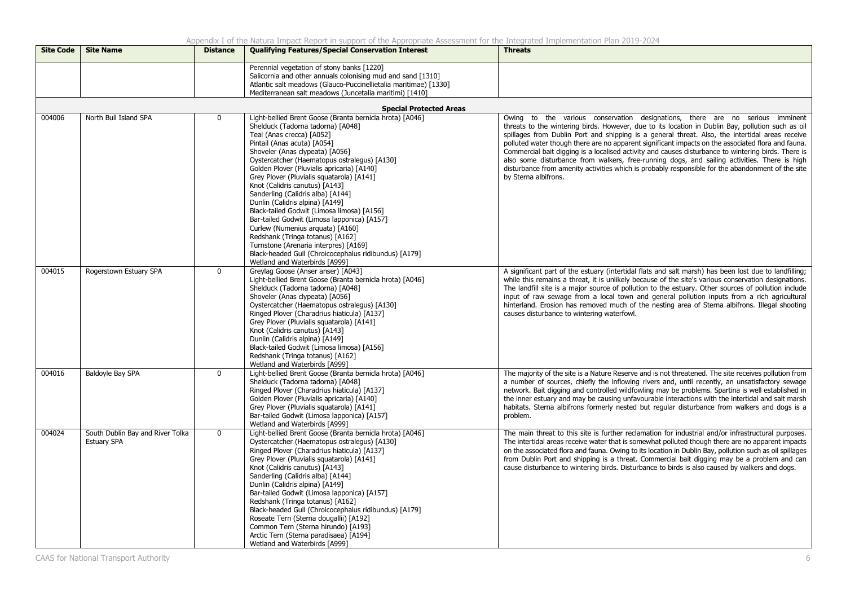| <b>Site Code</b> | <b>Site Name</b>                                       | <b>Distance</b> | <b>Qualifying Features/Special Conservation Interest</b>                                                                                                                                                                                                                                                                                                                                                                                                                                                                                                                                                                                                                                                                                                  | <b>Threats</b>                                                                                                                                                                                                                                                                                                                                                                                                                                                                                                                                                                                                                                                                                                                  |
|------------------|--------------------------------------------------------|-----------------|-----------------------------------------------------------------------------------------------------------------------------------------------------------------------------------------------------------------------------------------------------------------------------------------------------------------------------------------------------------------------------------------------------------------------------------------------------------------------------------------------------------------------------------------------------------------------------------------------------------------------------------------------------------------------------------------------------------------------------------------------------------|---------------------------------------------------------------------------------------------------------------------------------------------------------------------------------------------------------------------------------------------------------------------------------------------------------------------------------------------------------------------------------------------------------------------------------------------------------------------------------------------------------------------------------------------------------------------------------------------------------------------------------------------------------------------------------------------------------------------------------|
|                  |                                                        |                 | Perennial vegetation of stony banks [1220]<br>Salicornia and other annuals colonising mud and sand [1310]<br>Atlantic salt meadows (Glauco-Puccinellietalia maritimae) [1330]<br>Mediterranean salt meadows (Juncetalia maritimi) [1410]                                                                                                                                                                                                                                                                                                                                                                                                                                                                                                                  |                                                                                                                                                                                                                                                                                                                                                                                                                                                                                                                                                                                                                                                                                                                                 |
|                  |                                                        |                 | <b>Special Protected Areas</b>                                                                                                                                                                                                                                                                                                                                                                                                                                                                                                                                                                                                                                                                                                                            |                                                                                                                                                                                                                                                                                                                                                                                                                                                                                                                                                                                                                                                                                                                                 |
| 004006           | North Bull Island SPA                                  | $\mathbf 0$     | Light-bellied Brent Goose (Branta bernicla hrota) [A046]<br>Shelduck (Tadorna tadorna) [A048]<br>Teal (Anas crecca) [A052]<br>Pintail (Anas acuta) [A054]<br>Shoveler (Anas clypeata) [A056]<br>Oystercatcher (Haematopus ostralegus) [A130]<br>Golden Plover (Pluvialis apricaria) [A140]<br>Grey Plover (Pluvialis squatarola) [A141]<br>Knot (Calidris canutus) [A143]<br>Sanderling (Calidris alba) [A144]<br>Dunlin (Calidris alpina) [A149]<br>Black-tailed Godwit (Limosa limosa) [A156]<br>Bar-tailed Godwit (Limosa lapponica) [A157]<br>Curlew (Numenius arquata) [A160]<br>Redshank (Tringa totanus) [A162]<br>Turnstone (Arenaria interpres) [A169]<br>Black-headed Gull (Chroicocephalus ridibundus) [A179]<br>Wetland and Waterbirds [A999] | Owing to the various conservation designations, there are no serious imminent<br>threats to the wintering birds. However, due to its location in Dublin Bay, pollution such as oil<br>spillages from Dublin Port and shipping is a general threat. Also, the intertidal areas receive<br>polluted water though there are no apparent significant impacts on the associated flora and fauna.<br>Commercial bait digging is a localised activity and causes disturbance to wintering birds. There is<br>also some disturbance from walkers, free-running dogs, and sailing activities. There is high<br>disturbance from amenity activities which is probably responsible for the abandonment of the site<br>by Sterna albifrons. |
| 004015           | Rogerstown Estuary SPA                                 | $\mathbf{0}$    | Greylag Goose (Anser anser) [A043]<br>Light-bellied Brent Goose (Branta bernicla hrota) [A046]<br>Shelduck (Tadorna tadorna) [A048]<br>Shoveler (Anas clypeata) [A056]<br>Oystercatcher (Haematopus ostralegus) [A130]<br>Ringed Plover (Charadrius hiaticula) [A137]<br>Grey Plover (Pluvialis squatarola) [A141]<br>Knot (Calidris canutus) [A143]<br>Dunlin (Calidris alpina) [A149]<br>Black-tailed Godwit (Limosa limosa) [A156]<br>Redshank (Tringa totanus) [A162]<br>Wetland and Waterbirds [A999]                                                                                                                                                                                                                                                | A significant part of the estuary (intertidal flats and salt marsh) has been lost due to landfilling;<br>while this remains a threat, it is unlikely because of the site's various conservation designations.<br>The landfill site is a major source of pollution to the estuary. Other sources of pollution include<br>input of raw sewage from a local town and general pollution inputs from a rich agricultural<br>hinterland. Erosion has removed much of the nesting area of Sterna albifrons. Illegal shooting<br>causes disturbance to wintering waterfowl.                                                                                                                                                             |
| 004016           | Baldoyle Bay SPA                                       | $\mathbf 0$     | Light-bellied Brent Goose (Branta bernicla hrota) [A046]<br>Shelduck (Tadorna tadorna) [A048]<br>Ringed Plover (Charadrius hiaticula) [A137]<br>Golden Plover (Pluvialis apricaria) [A140]<br>Grey Plover (Pluvialis squatarola) [A141]<br>Bar-tailed Godwit (Limosa lapponica) [A157]<br>Wetland and Waterbirds [A999]                                                                                                                                                                                                                                                                                                                                                                                                                                   | The majority of the site is a Nature Reserve and is not threatened. The site receives pollution from<br>a number of sources, chiefly the inflowing rivers and, until recently, an unsatisfactory sewage<br>network. Bait digging and controlled wildfowling may be problems. Spartina is well established in<br>the inner estuary and may be causing unfavourable interactions with the intertidal and salt marsh<br>habitats. Sterna albifrons formerly nested but regular disturbance from walkers and dogs is a<br>problem.                                                                                                                                                                                                  |
| 004024           | South Dublin Bay and River Tolka<br><b>Estuary SPA</b> | $\mathbf 0$     | Light-bellied Brent Goose (Branta bernicla hrota) [A046]<br>Oystercatcher (Haematopus ostralegus) [A130]<br>Ringed Plover (Charadrius hiaticula) [A137]<br>Grey Plover (Pluvialis squatarola) [A141]<br>Knot (Calidris canutus) [A143]<br>Sanderling (Calidris alba) [A144]<br>Dunlin (Calidris alpina) [A149]<br>Bar-tailed Godwit (Limosa lapponica) [A157]<br>Redshank (Tringa totanus) [A162]<br>Black-headed Gull (Chroicocephalus ridibundus) [A179]<br>Roseate Tern (Sterna dougallii) [A192]<br>Common Tern (Sterna hirundo) [A193]<br>Arctic Tern (Sterna paradisaea) [A194]<br>Wetland and Waterbirds [A999]                                                                                                                                    | The main threat to this site is further reclamation for industrial and/or infrastructural purposes.<br>The intertidal areas receive water that is somewhat polluted though there are no apparent impacts<br>on the associated flora and fauna. Owing to its location in Dublin Bay, pollution such as oil spillages<br>from Dublin Port and shipping is a threat. Commercial bait digging may be a problem and can<br>cause disturbance to wintering birds. Disturbance to birds is also caused by walkers and dogs.                                                                                                                                                                                                            |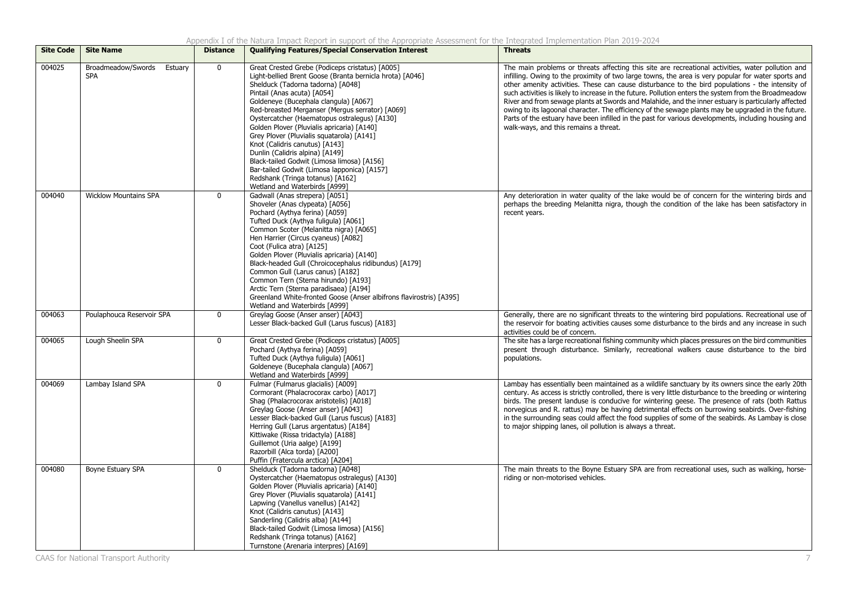| <b>Site Code</b> | <b>Site Name</b>                            | <b>Distance</b> | <b>Qualifying Features/Special Conservation Interest</b>                                                                                                                                                                                                                                                                                                                                                                                                                                                                                                                                                                                                      | <b>Threats</b>                                                                                                                                                                                                                                                                                                                                                                                                                                                                                                                                                                                                                                                                                                                                                                      |
|------------------|---------------------------------------------|-----------------|---------------------------------------------------------------------------------------------------------------------------------------------------------------------------------------------------------------------------------------------------------------------------------------------------------------------------------------------------------------------------------------------------------------------------------------------------------------------------------------------------------------------------------------------------------------------------------------------------------------------------------------------------------------|-------------------------------------------------------------------------------------------------------------------------------------------------------------------------------------------------------------------------------------------------------------------------------------------------------------------------------------------------------------------------------------------------------------------------------------------------------------------------------------------------------------------------------------------------------------------------------------------------------------------------------------------------------------------------------------------------------------------------------------------------------------------------------------|
| 004025           | Broadmeadow/Swords<br>Estuary<br><b>SPA</b> | $\mathbf 0$     | Great Crested Grebe (Podiceps cristatus) [A005]<br>Light-bellied Brent Goose (Branta bernicla hrota) [A046]<br>Shelduck (Tadorna tadorna) [A048]<br>Pintail (Anas acuta) [A054]<br>Goldeneye (Bucephala clangula) [A067]<br>Red-breasted Merganser (Mergus serrator) [A069]<br>Oystercatcher (Haematopus ostralegus) [A130]<br>Golden Plover (Pluvialis apricaria) [A140]<br>Grey Plover (Pluvialis squatarola) [A141]<br>Knot (Calidris canutus) [A143]<br>Dunlin (Calidris alpina) [A149]<br>Black-tailed Godwit (Limosa limosa) [A156]<br>Bar-tailed Godwit (Limosa lapponica) [A157]<br>Redshank (Tringa totanus) [A162]<br>Wetland and Waterbirds [A999] | The main problems or threats affecting this site are recreational activities, water pollution and<br>infilling. Owing to the proximity of two large towns, the area is very popular for water sports and<br>other amenity activities. These can cause disturbance to the bird populations - the intensity of<br>such activities is likely to increase in the future. Pollution enters the system from the Broadmeadow<br>River and from sewage plants at Swords and Malahide, and the inner estuary is particularly affected<br>owing to its lagoonal character. The efficiency of the sewage plants may be upgraded in the future.<br>Parts of the estuary have been infilled in the past for various developments, including housing and<br>walk-ways, and this remains a threat. |
| 004040           | <b>Wicklow Mountains SPA</b>                | $\mathbf 0$     | Gadwall (Anas strepera) [A051]<br>Shoveler (Anas clypeata) [A056]<br>Pochard (Aythya ferina) [A059]<br>Tufted Duck (Aythya fuliqula) [A061]<br>Common Scoter (Melanitta nigra) [A065]<br>Hen Harrier (Circus cyaneus) [A082]<br>Coot (Fulica atra) [A125]<br>Golden Plover (Pluvialis apricaria) [A140]<br>Black-headed Gull (Chroicocephalus ridibundus) [A179]<br>Common Gull (Larus canus) [A182]<br>Common Tern (Sterna hirundo) [A193]<br>Arctic Tern (Sterna paradisaea) [A194]<br>Greenland White-fronted Goose (Anser albifrons flavirostris) [A395]<br>Wetland and Waterbirds [A999]                                                                 | Any deterioration in water quality of the lake would be of concern for the wintering birds and<br>perhaps the breeding Melanitta nigra, though the condition of the lake has been satisfactory in<br>recent years.                                                                                                                                                                                                                                                                                                                                                                                                                                                                                                                                                                  |
| 004063           | Poulaphouca Reservoir SPA                   | $\mathbf 0$     | Greylag Goose (Anser anser) [A043]<br>Lesser Black-backed Gull (Larus fuscus) [A183]                                                                                                                                                                                                                                                                                                                                                                                                                                                                                                                                                                          | Generally, there are no significant threats to the wintering bird populations. Recreational use of<br>the reservoir for boating activities causes some disturbance to the birds and any increase in such<br>activities could be of concern.                                                                                                                                                                                                                                                                                                                                                                                                                                                                                                                                         |
| 004065           | Lough Sheelin SPA                           | $\mathbf 0$     | Great Crested Grebe (Podiceps cristatus) [A005]<br>Pochard (Aythya ferina) [A059]<br>Tufted Duck (Aythya fuligula) [A061]<br>Goldeneye (Bucephala clangula) [A067]<br>Wetland and Waterbirds [A999]                                                                                                                                                                                                                                                                                                                                                                                                                                                           | The site has a large recreational fishing community which places pressures on the bird communities<br>present through disturbance. Similarly, recreational walkers cause disturbance to the bird<br>populations.                                                                                                                                                                                                                                                                                                                                                                                                                                                                                                                                                                    |
| 004069           | Lambay Island SPA                           | $\mathbf{0}$    | Fulmar (Fulmarus glacialis) [A009]<br>Cormorant (Phalacrocorax carbo) [A017]<br>Shag (Phalacrocorax aristotelis) [A018]<br>Greylag Goose (Anser anser) [A043]<br>Lesser Black-backed Gull (Larus fuscus) [A183]<br>Herring Gull (Larus argentatus) [A184]<br>Kittiwake (Rissa tridactyla) [A188]<br>Guillemot (Uria aalge) [A199]<br>Razorbill (Alca torda) [A200]<br>Puffin (Fratercula arctica) [A204]                                                                                                                                                                                                                                                      | Lambay has essentially been maintained as a wildlife sanctuary by its owners since the early 20th<br>century. As access is strictly controlled, there is very little disturbance to the breeding or wintering<br>birds. The present landuse is conducive for wintering geese. The presence of rats (both Rattus<br>norvegicus and R. rattus) may be having detrimental effects on burrowing seabirds. Over-fishing<br>in the surrounding seas could affect the food supplies of some of the seabirds. As Lambay is close<br>to major shipping lanes, oil pollution is always a threat.                                                                                                                                                                                              |
| 004080           | Boyne Estuary SPA                           | $\mathbf 0$     | Shelduck (Tadorna tadorna) [A048]<br>Oystercatcher (Haematopus ostralegus) [A130]<br>Golden Plover (Pluvialis apricaria) [A140]<br>Grey Plover (Pluvialis squatarola) [A141]<br>Lapwing (Vanellus vanellus) [A142]<br>Knot (Calidris canutus) [A143]<br>Sanderling (Calidris alba) [A144]<br>Black-tailed Godwit (Limosa limosa) [A156]<br>Redshank (Tringa totanus) [A162]<br>Turnstone (Arenaria interpres) [A169]                                                                                                                                                                                                                                          | The main threats to the Boyne Estuary SPA are from recreational uses, such as walking, horse-<br>riding or non-motorised vehicles.                                                                                                                                                                                                                                                                                                                                                                                                                                                                                                                                                                                                                                                  |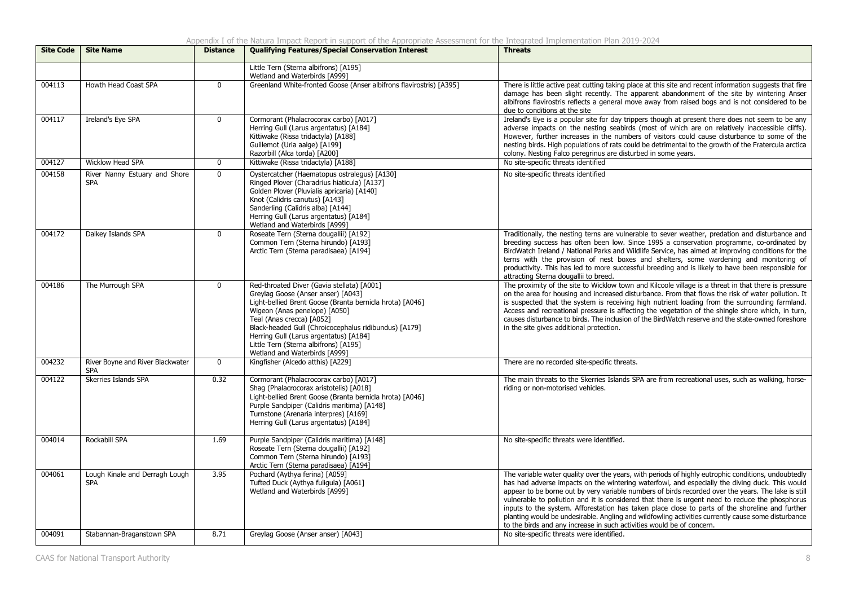| <b>Site Code</b> | <b>Site Name</b>                               | <b>Distance</b> | <b>Qualifying Features/Special Conservation Interest</b>                                                                                                                                                                                                                                                                                                                                | <b>Threats</b>                                                                                                                                                                                                                                                                                                                                                                                                                                                                                                                                                                                                                                                                                    |
|------------------|------------------------------------------------|-----------------|-----------------------------------------------------------------------------------------------------------------------------------------------------------------------------------------------------------------------------------------------------------------------------------------------------------------------------------------------------------------------------------------|---------------------------------------------------------------------------------------------------------------------------------------------------------------------------------------------------------------------------------------------------------------------------------------------------------------------------------------------------------------------------------------------------------------------------------------------------------------------------------------------------------------------------------------------------------------------------------------------------------------------------------------------------------------------------------------------------|
|                  |                                                |                 | Little Tern (Sterna albifrons) [A195]<br>Wetland and Waterbirds [A999]                                                                                                                                                                                                                                                                                                                  |                                                                                                                                                                                                                                                                                                                                                                                                                                                                                                                                                                                                                                                                                                   |
| 004113           | Howth Head Coast SPA                           | $\mathbf{0}$    | Greenland White-fronted Goose (Anser albifrons flavirostris) [A395]                                                                                                                                                                                                                                                                                                                     | There is little active peat cutting taking place at this site and recent information suggests that fire<br>damage has been slight recently. The apparent abandonment of the site by wintering Anser<br>albifrons flavirostris reflects a general move away from raised bogs and is not considered to be<br>due to conditions at the site                                                                                                                                                                                                                                                                                                                                                          |
| 004117           | Ireland's Eye SPA                              | $\mathbf{0}$    | Cormorant (Phalacrocorax carbo) [A017]<br>Herring Gull (Larus argentatus) [A184]<br>Kittiwake (Rissa tridactyla) [A188]<br>Guillemot (Uria aalge) [A199]<br>Razorbill (Alca torda) [A200]                                                                                                                                                                                               | Ireland's Eye is a popular site for day trippers though at present there does not seem to be any<br>adverse impacts on the nesting seabirds (most of which are on relatively inaccessible cliffs).<br>However, further increases in the numbers of visitors could cause disturbance to some of the<br>nesting birds. High populations of rats could be detrimental to the growth of the Fratercula arctica<br>colony. Nesting Falco peregrinus are disturbed in some years.                                                                                                                                                                                                                       |
| 004127           | <b>Wicklow Head SPA</b>                        | $\mathbf{0}$    | Kittiwake (Rissa tridactyla) [A188]                                                                                                                                                                                                                                                                                                                                                     | No site-specific threats identified                                                                                                                                                                                                                                                                                                                                                                                                                                                                                                                                                                                                                                                               |
| 004158           | River Nanny Estuary and Shore<br><b>SPA</b>    | $\mathbf{0}$    | Oystercatcher (Haematopus ostralegus) [A130]<br>Ringed Plover (Charadrius hiaticula) [A137]<br>Golden Plover (Pluvialis apricaria) [A140]<br>Knot (Calidris canutus) [A143]<br>Sanderling (Calidris alba) [A144]<br>Herring Gull (Larus argentatus) [A184]<br>Wetland and Waterbirds [A999]                                                                                             | No site-specific threats identified                                                                                                                                                                                                                                                                                                                                                                                                                                                                                                                                                                                                                                                               |
| 004172           | Dalkey Islands SPA                             | $\mathbf 0$     | Roseate Tern (Sterna dougallii) [A192]<br>Common Tern (Sterna hirundo) [A193]<br>Arctic Tern (Sterna paradisaea) [A194]                                                                                                                                                                                                                                                                 | Traditionally, the nesting terns are vulnerable to sever weather, predation and disturbance and<br>breeding success has often been low. Since 1995 a conservation programme, co-ordinated by<br>BirdWatch Ireland / National Parks and Wildlife Service, has aimed at improving conditions for the<br>terns with the provision of nest boxes and shelters, some wardening and monitoring of<br>productivity. This has led to more successful breeding and is likely to have been responsible for<br>attracting Sterna dougallii to breed.                                                                                                                                                         |
| 004186           | The Murrough SPA                               | $\mathbf 0$     | Red-throated Diver (Gavia stellata) [A001]<br>Greylag Goose (Anser anser) [A043]<br>Light-bellied Brent Goose (Branta bernicla hrota) [A046]<br>Wigeon (Anas penelope) [A050]<br>Teal (Anas crecca) [A052]<br>Black-headed Gull (Chroicocephalus ridibundus) [A179]<br>Herring Gull (Larus argentatus) [A184]<br>Little Tern (Sterna albifrons) [A195]<br>Wetland and Waterbirds [A999] | The proximity of the site to Wicklow town and Kilcoole village is a threat in that there is pressure<br>on the area for housing and increased disturbance. From that flows the risk of water pollution. It<br>is suspected that the system is receiving high nutrient loading from the surrounding farmland.<br>Access and recreational pressure is affecting the vegetation of the shingle shore which, in turn,<br>causes disturbance to birds. The inclusion of the BirdWatch reserve and the state-owned foreshore<br>in the site gives additional protection.                                                                                                                                |
| 004232           | River Boyne and River Blackwater<br><b>SPA</b> | $\mathbf 0$     | Kingfisher (Alcedo atthis) [A229]                                                                                                                                                                                                                                                                                                                                                       | There are no recorded site-specific threats.                                                                                                                                                                                                                                                                                                                                                                                                                                                                                                                                                                                                                                                      |
| 004122           | Skerries Islands SPA                           | 0.32            | Cormorant (Phalacrocorax carbo) [A017]<br>Shaq (Phalacrocorax aristotelis) [A018]<br>Light-bellied Brent Goose (Branta bernicla hrota) [A046]<br>Purple Sandpiper (Calidris maritima) [A148]<br>Turnstone (Arenaria interpres) [A169]<br>Herring Gull (Larus argentatus) [A184]                                                                                                         | The main threats to the Skerries Islands SPA are from recreational uses, such as walking, horse-<br>riding or non-motorised vehicles.                                                                                                                                                                                                                                                                                                                                                                                                                                                                                                                                                             |
| 004014           | Rockabill SPA                                  | 1.69            | Purple Sandpiper (Calidris maritima) [A148]<br>Roseate Tern (Sterna dougallii) [A192]<br>Common Tern (Sterna hirundo) [A193]<br>Arctic Tern (Sterna paradisaea) [A194]                                                                                                                                                                                                                  | No site-specific threats were identified.                                                                                                                                                                                                                                                                                                                                                                                                                                                                                                                                                                                                                                                         |
| 004061           | Lough Kinale and Derragh Lough<br><b>SPA</b>   | 3.95            | Pochard (Aythya ferina) [A059]<br>Tufted Duck (Aythya fuliqula) [A061]<br>Wetland and Waterbirds [A999]                                                                                                                                                                                                                                                                                 | The variable water quality over the years, with periods of highly eutrophic conditions, undoubtedly<br>has had adverse impacts on the wintering waterfowl, and especially the diving duck. This would<br>appear to be borne out by very variable numbers of birds recorded over the years. The lake is still<br>vulnerable to pollution and it is considered that there is urgent need to reduce the phosphorus<br>inputs to the system. Afforestation has taken place close to parts of the shoreline and further<br>planting would be undesirable. Angling and wildfowling activities currently cause some disturbance<br>to the birds and any increase in such activities would be of concern. |
| 004091           | Stabannan-Braganstown SPA                      | 8.71            | Greylag Goose (Anser anser) [A043]                                                                                                                                                                                                                                                                                                                                                      | No site-specific threats were identified.                                                                                                                                                                                                                                                                                                                                                                                                                                                                                                                                                                                                                                                         |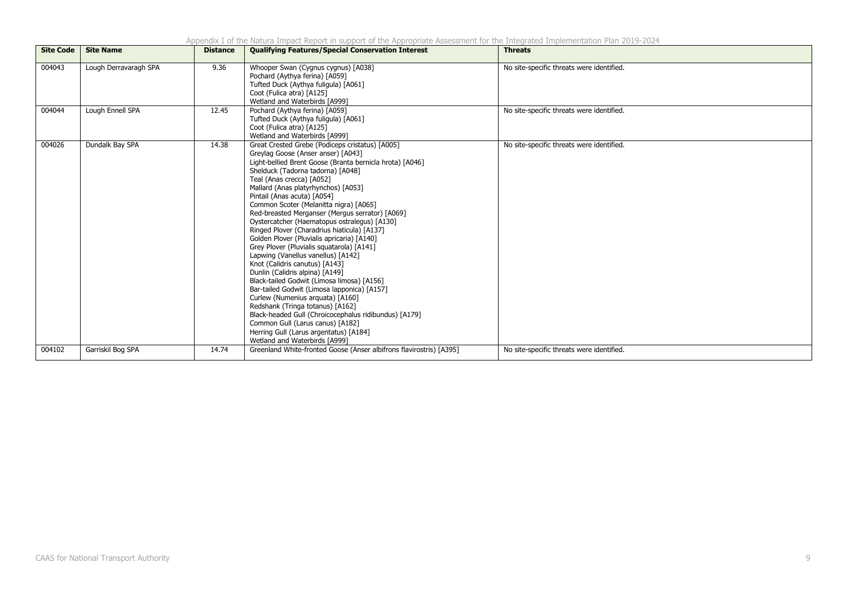Appendix I of the Natura Impact Report in support of the Appropriate Assessment for the Integrated Implementation Plan 2019-2024

| <b>Site Code</b> | <b>Site Name</b>      | <b>Distance</b> | <b>Qualifying Features/Special Conservation Interest</b>                                                                                                                                                                                                                                                                                                                                                                                                                                                                                                                                                                                                                                                                                                                                                                                                                                                                                                                                                                                 | <b>Threats</b>                            |
|------------------|-----------------------|-----------------|------------------------------------------------------------------------------------------------------------------------------------------------------------------------------------------------------------------------------------------------------------------------------------------------------------------------------------------------------------------------------------------------------------------------------------------------------------------------------------------------------------------------------------------------------------------------------------------------------------------------------------------------------------------------------------------------------------------------------------------------------------------------------------------------------------------------------------------------------------------------------------------------------------------------------------------------------------------------------------------------------------------------------------------|-------------------------------------------|
| 004043           | Lough Derravaragh SPA | 9.36            | Whooper Swan (Cygnus cygnus) [A038]<br>Pochard (Aythya ferina) [A059]<br>Tufted Duck (Aythya fuligula) [A061]<br>Coot (Fulica atra) [A125]<br>Wetland and Waterbirds [A999]                                                                                                                                                                                                                                                                                                                                                                                                                                                                                                                                                                                                                                                                                                                                                                                                                                                              | No site-specific threats were identified. |
| 004044           | Lough Ennell SPA      | 12.45           | Pochard (Aythya ferina) [A059]<br>Tufted Duck (Aythya fuligula) [A061]<br>Coot (Fulica atra) [A125]<br>Wetland and Waterbirds [A999]                                                                                                                                                                                                                                                                                                                                                                                                                                                                                                                                                                                                                                                                                                                                                                                                                                                                                                     | No site-specific threats were identified. |
| 004026           | Dundalk Bay SPA       | 14.38           | Great Crested Grebe (Podiceps cristatus) [A005]<br>Greylag Goose (Anser anser) [A043]<br>Light-bellied Brent Goose (Branta bernicla hrota) [A046]<br>Shelduck (Tadorna tadorna) [A048]<br>Teal (Anas crecca) [A052]<br>Mallard (Anas platyrhynchos) [A053]<br>Pintail (Anas acuta) [A054]<br>Common Scoter (Melanitta nigra) [A065]<br>Red-breasted Merganser (Mergus serrator) [A069]<br>Oystercatcher (Haematopus ostralegus) [A130]<br>Ringed Plover (Charadrius hiaticula) [A137]<br>Golden Plover (Pluvialis apricaria) [A140]<br>Grey Plover (Pluvialis squatarola) [A141]<br>Lapwing (Vanellus vanellus) [A142]<br>Knot (Calidris canutus) [A143]<br>Dunlin (Calidris alpina) [A149]<br>Black-tailed Godwit (Limosa limosa) [A156]<br>Bar-tailed Godwit (Limosa lapponica) [A157]<br>Curlew (Numenius arquata) [A160]<br>Redshank (Tringa totanus) [A162]<br>Black-headed Gull (Chroicocephalus ridibundus) [A179]<br>Common Gull (Larus canus) [A182]<br>Herring Gull (Larus argentatus) [A184]<br>Wetland and Waterbirds [A999] | No site-specific threats were identified. |
| 004102           | Garriskil Bog SPA     | 14.74           | Greenland White-fronted Goose (Anser albifrons flavirostris) [A395]                                                                                                                                                                                                                                                                                                                                                                                                                                                                                                                                                                                                                                                                                                                                                                                                                                                                                                                                                                      | No site-specific threats were identified. |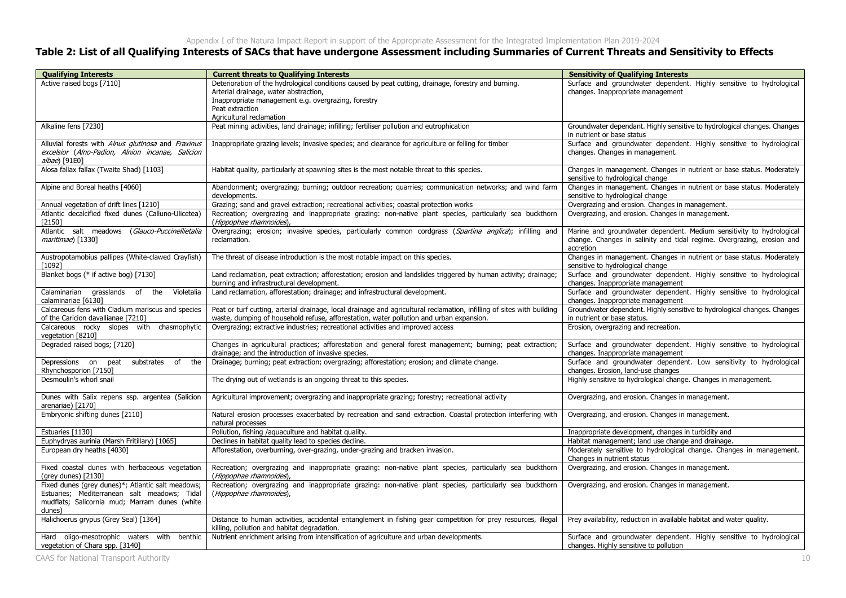### **Table 2: List of all Qualifying Interests of SACs that have undergone Assessment including Summaries of Current Threats and Sensitivity to Effects**

| <b>Qualifying Interests</b>                                                                                                                                  | <b>Current threats to Qualifying Interests</b>                                                                                                                                                                                                      | <b>Sensitivity of Qualifying Interests</b>                                                                                                                  |
|--------------------------------------------------------------------------------------------------------------------------------------------------------------|-----------------------------------------------------------------------------------------------------------------------------------------------------------------------------------------------------------------------------------------------------|-------------------------------------------------------------------------------------------------------------------------------------------------------------|
| Active raised bogs [7110]                                                                                                                                    | Deterioration of the hydrological conditions caused by peat cutting, drainage, forestry and burning.<br>Arterial drainage, water abstraction,<br>Inappropriate management e.g. overgrazing, forestry<br>Peat extraction<br>Agricultural reclamation | Surface and groundwater dependent. Highly sensitive to hydrological<br>changes. Inappropriate management                                                    |
| Alkaline fens [7230]                                                                                                                                         | Peat mining activities, land drainage; infilling; fertiliser pollution and eutrophication                                                                                                                                                           | Groundwater dependant. Highly sensitive to hydrological changes. Changes<br>in nutrient or base status                                                      |
| Alluvial forests with Alnus glutinosa and Fraxinus<br>excelsior (Alno-Padion, Alnion incanae, Salicion<br>albae) [91E0]                                      | Inappropriate grazing levels; invasive species; and clearance for agriculture or felling for timber                                                                                                                                                 | Surface and groundwater dependent. Highly sensitive to hydrological<br>changes. Changes in management.                                                      |
| Alosa fallax fallax (Twaite Shad) [1103]                                                                                                                     | Habitat quality, particularly at spawning sites is the most notable threat to this species.                                                                                                                                                         | Changes in management. Changes in nutrient or base status. Moderately<br>sensitive to hydrological change                                                   |
| Alpine and Boreal heaths [4060]                                                                                                                              | Abandonment; overgrazing; burning; outdoor recreation; quarries; communication networks; and wind farm<br>developments.                                                                                                                             | Changes in management. Changes in nutrient or base status. Moderately<br>sensitive to hydrological change                                                   |
| Annual vegetation of drift lines [1210]                                                                                                                      | Grazing; sand and gravel extraction; recreational activities; coastal protection works                                                                                                                                                              | Overgrazing and erosion. Changes in management.                                                                                                             |
| Atlantic decalcified fixed dunes (Calluno-Ulicetea)<br>$[2150]$                                                                                              | Recreation; overgrazing and inappropriate grazing: non-native plant species, particularly sea buckthorn<br>(Hippophae rhamnoides),                                                                                                                  | Overgrazing, and erosion. Changes in management.                                                                                                            |
| Atlantic salt meadows (Glauco-Puccinellietalia<br>maritimae) [1330]                                                                                          | Overgrazing; erosion; invasive species, particularly common cordgrass (Spartina anglica); infilling and<br>reclamation.                                                                                                                             | Marine and groundwater dependent. Medium sensitivity to hydrological<br>change. Changes in salinity and tidal regime. Overgrazing, erosion and<br>accretion |
| Austropotamobius pallipes (White-clawed Crayfish)<br>[1092]                                                                                                  | The threat of disease introduction is the most notable impact on this species.                                                                                                                                                                      | Changes in management. Changes in nutrient or base status. Moderately<br>sensitive to hydrological change                                                   |
| Blanket bogs (* if active bog) [7130]                                                                                                                        | Land reclamation, peat extraction; afforestation; erosion and landslides triggered by human activity; drainage;<br>burning and infrastructural development.                                                                                         | Surface and groundwater dependent. Highly sensitive to hydrological<br>changes. Inappropriate management                                                    |
| Calaminarian grasslands of the<br>Violetalia<br>calaminariae [6130]                                                                                          | Land reclamation, afforestation; drainage; and infrastructural development.                                                                                                                                                                         | Surface and groundwater dependent. Highly sensitive to hydrological<br>changes. Inappropriate management                                                    |
| Calcareous fens with Cladium mariscus and species                                                                                                            | Peat or turf cutting, arterial drainage, local drainage and agricultural reclamation, infilling of sites with building                                                                                                                              | Groundwater dependent. Highly sensitive to hydrological changes. Changes                                                                                    |
| of the Caricion davallianae [7210]<br>Calcareous rocky slopes with chasmophytic<br>vegetation [8210]                                                         | waste, dumping of household refuse, afforestation, water pollution and urban expansion.<br>Overgrazing; extractive industries; recreational activities and improved access                                                                          | in nutrient or base status.<br>Erosion, overgrazing and recreation.                                                                                         |
| Degraded raised bogs; [7120]                                                                                                                                 | Changes in agricultural practices; afforestation and general forest management; burning; peat extraction;<br>drainage; and the introduction of invasive species.                                                                                    | Surface and groundwater dependent. Highly sensitive to hydrological<br>changes. Inappropriate management                                                    |
| Depressions on peat substrates<br>of<br>the<br>Rhynchosporion [7150]                                                                                         | Drainage; burning; peat extraction; overgrazing; afforestation; erosion; and climate change.                                                                                                                                                        | Surface and groundwater dependent. Low sensitivity to hydrological<br>changes. Erosion, land-use changes                                                    |
| Desmoulin's whorl snail                                                                                                                                      | The drying out of wetlands is an ongoing threat to this species.                                                                                                                                                                                    | Highly sensitive to hydrological change. Changes in management.                                                                                             |
| Dunes with Salix repens ssp. argentea (Salicion<br>arenariae) [2170]                                                                                         | Agricultural improvement; overgrazing and inappropriate grazing; forestry; recreational activity                                                                                                                                                    | Overgrazing, and erosion. Changes in management.                                                                                                            |
| Embryonic shifting dunes [2110]                                                                                                                              | Natural erosion processes exacerbated by recreation and sand extraction. Coastal protection interfering with<br>natural processes                                                                                                                   | Overgrazing, and erosion. Changes in management.                                                                                                            |
| Estuaries [1130]                                                                                                                                             | Pollution, fishing /aquaculture and habitat quality.                                                                                                                                                                                                | Inappropriate development, changes in turbidity and                                                                                                         |
| Euphydryas aurinia (Marsh Fritillary) [1065]                                                                                                                 | Declines in habitat quality lead to species decline.                                                                                                                                                                                                | Habitat management; land use change and drainage.                                                                                                           |
| European dry heaths [4030]                                                                                                                                   | Afforestation, overburning, over-grazing, under-grazing and bracken invasion.                                                                                                                                                                       | Moderately sensitive to hydrological change. Changes in management.<br>Changes in nutrient status                                                           |
| Fixed coastal dunes with herbaceous vegetation<br>(grey dunes) $[2130]$                                                                                      | Recreation; overgrazing and inappropriate grazing: non-native plant species, particularly sea buckthorn<br>(Hippophae rhamnoides),                                                                                                                  | Overgrazing, and erosion. Changes in management.                                                                                                            |
| Fixed dunes (grey dunes)*; Atlantic salt meadows;<br>Estuaries; Mediterranean salt meadows; Tidal<br>mudflats; Salicornia mud; Marram dunes (white<br>dunes) | Recreation; overgrazing and inappropriate grazing: non-native plant species, particularly sea buckthorn<br>(Hippophae rhamnoides),                                                                                                                  | Overgrazing, and erosion. Changes in management.                                                                                                            |
| Halichoerus grypus (Grey Seal) [1364]                                                                                                                        | Distance to human activities, accidental entanglement in fishing gear competition for prey resources, illegal<br>killing, pollution and habitat degradation.                                                                                        | Prey availability, reduction in available habitat and water quality.                                                                                        |
| Hard oligo-mesotrophic waters with<br>benthic<br>vegetation of Chara spp. [3140]                                                                             | Nutrient enrichment arising from intensification of agriculture and urban developments.                                                                                                                                                             | Surface and groundwater dependent. Highly sensitive to hydrological<br>changes. Highly sensitive to pollution                                               |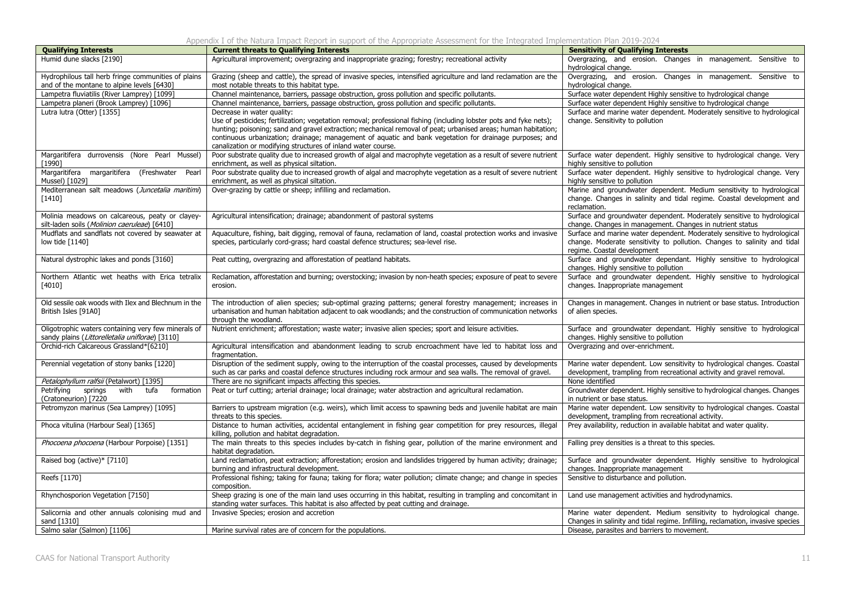Appendix I of the Natura Impact Report in support of the Appropriate Assessment for the Integrated Implementation Plan 2019-2024

| <b>Qualifying Interests</b>                                                                            | <b>Current threats to Qualifying Interests</b>                                                                                                                                                                                                                                                                                                                                                                                                | <b>Sensitivity of Qualifying Interests</b>                                                                                                                                          |
|--------------------------------------------------------------------------------------------------------|-----------------------------------------------------------------------------------------------------------------------------------------------------------------------------------------------------------------------------------------------------------------------------------------------------------------------------------------------------------------------------------------------------------------------------------------------|-------------------------------------------------------------------------------------------------------------------------------------------------------------------------------------|
| Humid dune slacks [2190]                                                                               | Agricultural improvement; overgrazing and inappropriate grazing; forestry; recreational activity                                                                                                                                                                                                                                                                                                                                              | Overgrazing, and erosion. Changes in management. Sensitive to<br>hydrological change.                                                                                               |
| Hydrophilous tall herb fringe communities of plains<br>and of the montane to alpine levels [6430]      | Grazing (sheep and cattle), the spread of invasive species, intensified agriculture and land reclamation are the<br>most notable threats to this habitat type.                                                                                                                                                                                                                                                                                | Overgrazing, and erosion. Changes in management. Sensitive to<br>hydrological change.                                                                                               |
| Lampetra fluviatilis (River Lamprey) [1099]                                                            | Channel maintenance, barriers, passage obstruction, gross pollution and specific pollutants.                                                                                                                                                                                                                                                                                                                                                  | Surface water dependent Highly sensitive to hydrological change                                                                                                                     |
| Lampetra planeri (Brook Lamprey) [1096]                                                                | Channel maintenance, barriers, passage obstruction, gross pollution and specific pollutants.                                                                                                                                                                                                                                                                                                                                                  | Surface water dependent Highly sensitive to hydrological change                                                                                                                     |
| Lutra lutra (Otter) [1355]                                                                             | Decrease in water quality:<br>Use of pesticides; fertilization; vegetation removal; professional fishing (including lobster pots and fyke nets);<br>hunting; poisoning; sand and gravel extraction; mechanical removal of peat; urbanised areas; human habitation;<br>continuous urbanization; drainage; management of aquatic and bank vegetation for drainage purposes; and<br>canalization or modifying structures of inland water course. | Surface and marine water dependent. Moderately sensitive to hydrological<br>change. Sensitivity to pollution                                                                        |
| Margaritifera durrovensis (Nore Pearl Mussel)<br>[1990]                                                | Poor substrate quality due to increased growth of algal and macrophyte vegetation as a result of severe nutrient<br>enrichment, as well as physical siltation.                                                                                                                                                                                                                                                                                | Surface water dependent. Highly sensitive to hydrological change. Very<br>highly sensitive to pollution                                                                             |
| Margaritifera margaritifera (Freshwater<br>Pearl<br>Mussel) [1029]                                     | Poor substrate quality due to increased growth of algal and macrophyte vegetation as a result of severe nutrient<br>enrichment, as well as physical siltation.                                                                                                                                                                                                                                                                                | Surface water dependent. Highly sensitive to hydrological change. Very<br>highly sensitive to pollution                                                                             |
| Mediterranean salt meadows (Juncetalia maritimi)<br>[1410]                                             | Over-grazing by cattle or sheep; infilling and reclamation.                                                                                                                                                                                                                                                                                                                                                                                   | Marine and groundwater dependent. Medium sensitivity to hydrological<br>change. Changes in salinity and tidal regime. Coastal development and<br>reclamation.                       |
| Molinia meadows on calcareous, peaty or clayey-<br>silt-laden soils (Molinion caeruleae) [6410]        | Agricultural intensification; drainage; abandonment of pastoral systems                                                                                                                                                                                                                                                                                                                                                                       | Surface and groundwater dependent. Moderately sensitive to hydrological<br>change. Changes in management. Changes in nutrient status                                                |
| Mudflats and sandflats not covered by seawater at<br>low tide [1140]                                   | Aquaculture, fishing, bait digging, removal of fauna, reclamation of land, coastal protection works and invasive<br>species, particularly cord-grass; hard coastal defence structures; sea-level rise.                                                                                                                                                                                                                                        | Surface and marine water dependent. Moderately sensitive to hydrological<br>change. Moderate sensitivity to pollution. Changes to salinity and tidal<br>regime. Coastal development |
| Natural dystrophic lakes and ponds [3160]                                                              | Peat cutting, overgrazing and afforestation of peatland habitats.                                                                                                                                                                                                                                                                                                                                                                             | Surface and groundwater dependant. Highly sensitive to hydrological<br>changes. Highly sensitive to pollution                                                                       |
| Northern Atlantic wet heaths with Erica tetralix<br>[4010]                                             | Reclamation, afforestation and burning; overstocking; invasion by non-heath species; exposure of peat to severe<br>erosion.                                                                                                                                                                                                                                                                                                                   | Surface and groundwater dependent. Highly sensitive to hydrological<br>changes. Inappropriate management                                                                            |
| Old sessile oak woods with Ilex and Blechnum in the<br>British Isles [91A0]                            | The introduction of alien species; sub-optimal grazing patterns; general forestry management; increases in<br>urbanisation and human habitation adjacent to oak woodlands; and the construction of communication networks<br>through the woodland.                                                                                                                                                                                            | Changes in management. Changes in nutrient or base status. Introduction<br>of alien species.                                                                                        |
| Oligotrophic waters containing very few minerals of<br>sandy plains (Littorelletalia uniflorae) [3110] | Nutrient enrichment; afforestation; waste water; invasive alien species; sport and leisure activities.                                                                                                                                                                                                                                                                                                                                        | Surface and groundwater dependant. Highly sensitive to hydrological<br>changes. Highly sensitive to pollution                                                                       |
| Orchid-rich Calcareous Grassland*[6210]                                                                | Agricultural intensification and abandonment leading to scrub encroachment have led to habitat loss and<br>fragmentation.                                                                                                                                                                                                                                                                                                                     | Overgrazing and over-enrichment.                                                                                                                                                    |
| Perennial vegetation of stony banks [1220]                                                             | Disruption of the sediment supply, owing to the interruption of the coastal processes, caused by developments<br>such as car parks and coastal defence structures including rock armour and sea walls. The removal of gravel.                                                                                                                                                                                                                 | Marine water dependent. Low sensitivity to hydrological changes. Coastal<br>development, trampling from recreational activity and gravel removal.                                   |
| Petalophyllum ralfsii (Petalwort) [1395]                                                               | There are no significant impacts affecting this species.                                                                                                                                                                                                                                                                                                                                                                                      | None identified                                                                                                                                                                     |
| Petrifying<br>springs<br>with<br>tufa<br>formation<br>(Cratoneurion) [7220                             | Peat or turf cutting; arterial drainage; local drainage; water abstraction and agricultural reclamation.                                                                                                                                                                                                                                                                                                                                      | Groundwater dependent. Highly sensitive to hydrological changes. Changes<br>in nutrient or base status.                                                                             |
| Petromyzon marinus (Sea Lamprey) [1095]                                                                | Barriers to upstream migration (e.g. weirs), which limit access to spawning beds and juvenile habitat are main<br>threats to this species.                                                                                                                                                                                                                                                                                                    | Marine water dependent. Low sensitivity to hydrological changes. Coastal<br>development, trampling from recreational activity.                                                      |
| Phoca vitulina (Harbour Seal) [1365]                                                                   | Distance to human activities, accidental entanglement in fishing gear competition for prey resources, illegal<br>killing, pollution and habitat degradation.                                                                                                                                                                                                                                                                                  | Prey availability, reduction in available habitat and water quality.                                                                                                                |
| Phocoena phocoena (Harbour Porpoise) [1351]                                                            | The main threats to this species includes by-catch in fishing gear, pollution of the marine environment and<br>habitat degradation.                                                                                                                                                                                                                                                                                                           | Falling prey densities is a threat to this species.                                                                                                                                 |
| Raised bog (active)* [7110]                                                                            | Land reclamation, peat extraction; afforestation; erosion and landslides triggered by human activity; drainage;<br>burning and infrastructural development.                                                                                                                                                                                                                                                                                   | Surface and groundwater dependent. Highly sensitive to hydrological<br>changes. Inappropriate management                                                                            |
| Reefs [1170]                                                                                           | Professional fishing; taking for fauna; taking for flora; water pollution; climate change; and change in species<br>composition.                                                                                                                                                                                                                                                                                                              | Sensitive to disturbance and pollution.                                                                                                                                             |
| Rhynchosporion Vegetation [7150]                                                                       | Sheep grazing is one of the main land uses occurring in this habitat, resulting in trampling and concomitant in<br>standing water surfaces. This habitat is also affected by peat cutting and drainage.                                                                                                                                                                                                                                       | Land use management activities and hydrodynamics.                                                                                                                                   |
| Salicornia and other annuals colonising mud and                                                        | Invasive Species; erosion and accretion                                                                                                                                                                                                                                                                                                                                                                                                       | Marine water dependent. Medium sensitivity to hydrological change.                                                                                                                  |
| sand [1310]                                                                                            |                                                                                                                                                                                                                                                                                                                                                                                                                                               | Changes in salinity and tidal regime. Infilling, reclamation, invasive species                                                                                                      |
| Salmo salar (Salmon) [1106]                                                                            | Marine survival rates are of concern for the populations.                                                                                                                                                                                                                                                                                                                                                                                     | Disease, parasites and barriers to movement.                                                                                                                                        |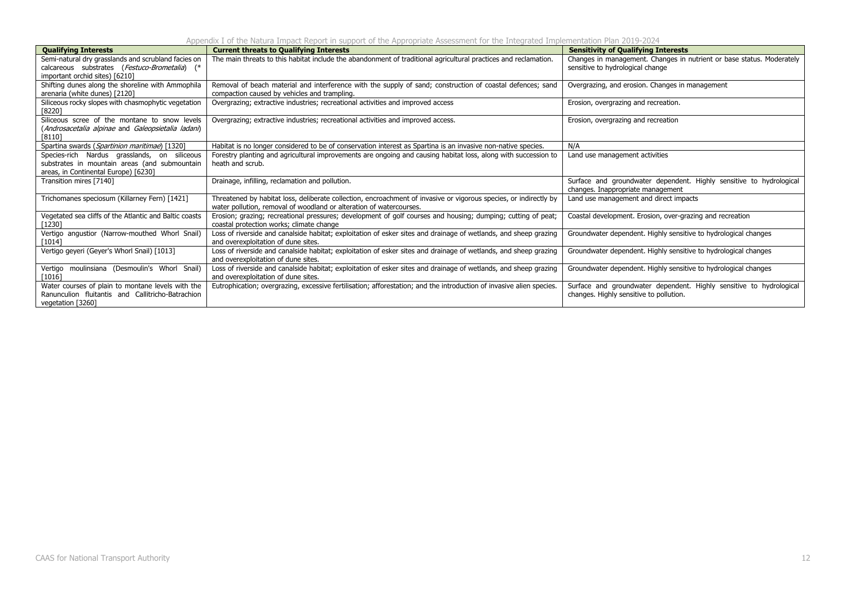Appendix I of the Natura Impact Report in support of the Appropriate Assessment for the Integrated Implementation Plan 2019-2024

| <b>Qualifying Interests</b>                            | <b>Current threats to Qualifying Interests</b>                                                                       | <b>Sensitivity of Qualifying Interests</b>                                                               |
|--------------------------------------------------------|----------------------------------------------------------------------------------------------------------------------|----------------------------------------------------------------------------------------------------------|
| Semi-natural dry grasslands and scrubland facies on    | The main threats to this habitat include the abandonment of traditional agricultural practices and reclamation.      | Changes in management. Changes in nutrient or base status. Moderately                                    |
| calcareous substrates (Festuco-Brometalia) (*          |                                                                                                                      | sensitive to hydrological change                                                                         |
| important orchid sites) [6210]                         |                                                                                                                      |                                                                                                          |
| Shifting dunes along the shoreline with Ammophila      | Removal of beach material and interference with the supply of sand; construction of coastal defences; sand           | Overgrazing, and erosion. Changes in management                                                          |
| arenaria (white dunes) [2120]                          | compaction caused by vehicles and trampling.                                                                         |                                                                                                          |
| Siliceous rocky slopes with chasmophytic vegetation    | Overgrazing; extractive industries; recreational activities and improved access                                      | Erosion, overgrazing and recreation.                                                                     |
| 182201                                                 |                                                                                                                      |                                                                                                          |
| Siliceous scree of the montane to snow levels          | Overgrazing; extractive industries; recreational activities and improved access.                                     | Erosion, overgrazing and recreation                                                                      |
| (Androsacetalia alpinae and Galeopsietalia ladani)     |                                                                                                                      |                                                                                                          |
| [8110]                                                 |                                                                                                                      |                                                                                                          |
| Spartina swards (Spartinion maritimae) [1320]          | Habitat is no longer considered to be of conservation interest as Spartina is an invasive non-native species.        | N/A                                                                                                      |
| Species-rich Nardus grasslands, on siliceous           | Forestry planting and agricultural improvements are ongoing and causing habitat loss, along with succession to       | Land use management activities                                                                           |
| substrates in mountain areas (and submountain          | heath and scrub.                                                                                                     |                                                                                                          |
| areas, in Continental Europe) [6230]                   |                                                                                                                      |                                                                                                          |
| Transition mires [7140]                                | Drainage, infilling, reclamation and pollution.                                                                      | Surface and groundwater dependent. Highly sensitive to hydrological<br>changes. Inappropriate management |
| Trichomanes speciosum (Killarney Fern) [1421]          | Threatened by habitat loss, deliberate collection, encroachment of invasive or vigorous species, or indirectly by    | Land use management and direct impacts                                                                   |
|                                                        | water pollution, removal of woodland or alteration of watercourses.                                                  |                                                                                                          |
| Vegetated sea cliffs of the Atlantic and Baltic coasts | Erosion; grazing; recreational pressures; development of golf courses and housing; dumping; cutting of peat;         | Coastal development. Erosion, over-grazing and recreation                                                |
| 12301                                                  | coastal protection works: climate change                                                                             |                                                                                                          |
| Vertigo angustior (Narrow-mouthed Whorl Snail)         | Loss of riverside and canalside habitat; exploitation of esker sites and drainage of wetlands, and sheep grazing     | Groundwater dependent. Highly sensitive to hydrological changes                                          |
| [1014]                                                 | and overexploitation of dune sites.                                                                                  |                                                                                                          |
| Vertigo geyeri (Geyer's Whorl Snail) [1013]            | Loss of riverside and canalside habitat; exploitation of esker sites and drainage of wetlands, and sheep grazing     | Groundwater dependent. Highly sensitive to hydrological changes                                          |
|                                                        | and overexploitation of dune sites.                                                                                  |                                                                                                          |
| Vertigo moulinsiana (Desmoulin's Whorl Snail)          | Loss of riverside and canalside habitat; exploitation of esker sites and drainage of wetlands, and sheep grazing     | Groundwater dependent. Highly sensitive to hydrological changes                                          |
| [1016]                                                 | and overexploitation of dune sites.                                                                                  |                                                                                                          |
| Water courses of plain to montane levels with the      | Eutrophication; overgrazing, excessive fertilisation; afforestation; and the introduction of invasive alien species. | Surface and groundwater dependent. Highly sensitive to hydrological                                      |
| Ranunculion fluitantis and Callitricho-Batrachion      |                                                                                                                      | changes. Highly sensitive to pollution.                                                                  |
| vegetation [3260]                                      |                                                                                                                      |                                                                                                          |